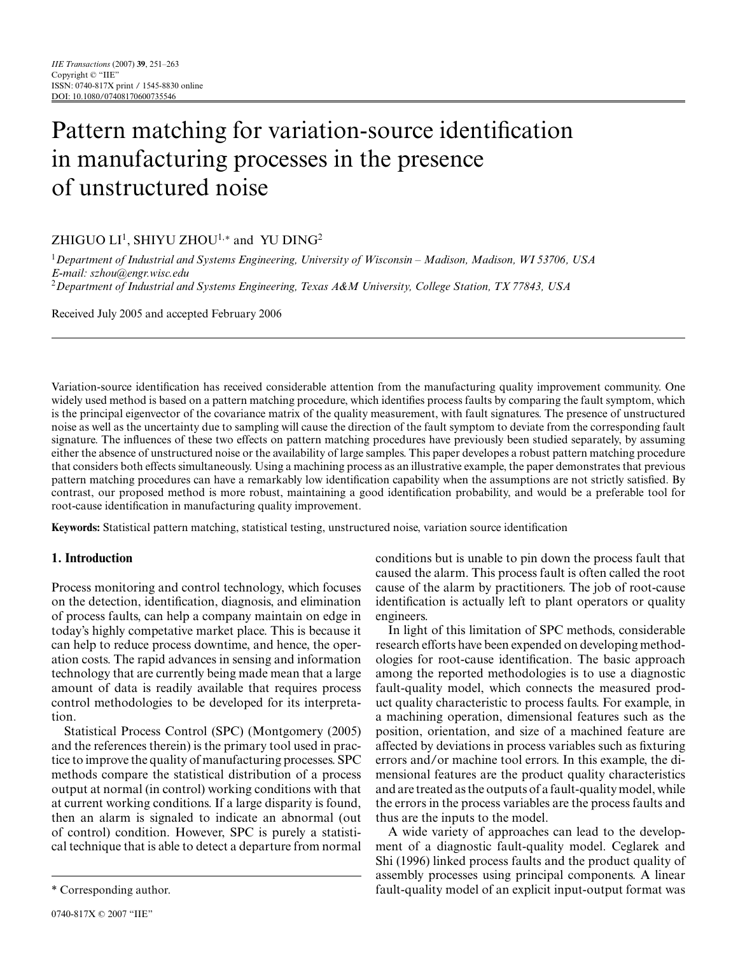# Pattern matching for variation-source identification in manufacturing processes in the presence of unstructured noise

# ZHIGUO LI<sup>1</sup>, SHIYU ZHOU<sup>1,\*</sup> and YU DING<sup>2</sup>

<sup>1</sup>*Department of Industrial and Systems Engineering, University of Wisconsin – Madison, Madison, WI 53706, USA E-mail: szhou@engr.wisc.edu* <sup>2</sup>*Department of Industrial and Systems Engineering, Texas A&M University, College Station, TX 77843, USA*

Received July 2005 and accepted February 2006

Variation-source identification has received considerable attention from the manufacturing quality improvement community. One widely used method is based on a pattern matching procedure, which identifies process faults by comparing the fault symptom, which is the principal eigenvector of the covariance matrix of the quality measurement, with fault signatures. The presence of unstructured noise as well as the uncertainty due to sampling will cause the direction of the fault symptom to deviate from the corresponding fault signature. The influences of these two effects on pattern matching procedures have previously been studied separately, by assuming either the absence of unstructured noise or the availability of large samples. This paper developes a robust pattern matching procedure that considers both effects simultaneously. Using a machining process as an illustrative example, the paper demonstrates that previous pattern matching procedures can have a remarkably low identification capability when the assumptions are not strictly satisfied. By contrast, our proposed method is more robust, maintaining a good identification probability, and would be a preferable tool for root-cause identification in manufacturing quality improvement.

**Keywords:** Statistical pattern matching, statistical testing, unstructured noise, variation source identification

# **1. Introduction**

Process monitoring and control technology, which focuses on the detection, identification, diagnosis, and elimination of process faults, can help a company maintain on edge in today's highly competative market place. This is because it can help to reduce process downtime, and hence, the operation costs. The rapid advances in sensing and information technology that are currently being made mean that a large amount of data is readily available that requires process control methodologies to be developed for its interpretation.

Statistical Process Control (SPC) (Montgomery (2005) and the references therein) is the primary tool used in practice to improve the quality of manufacturing processes. SPC methods compare the statistical distribution of a process output at normal (in control) working conditions with that at current working conditions. If a large disparity is found, then an alarm is signaled to indicate an abnormal (out of control) condition. However, SPC is purely a statistical technique that is able to detect a departure from normal

conditions but is unable to pin down the process fault that caused the alarm. This process fault is often called the root cause of the alarm by practitioners. The job of root-cause identification is actually left to plant operators or quality engineers.

In light of this limitation of SPC methods, considerable research efforts have been expended on developing methodologies for root-cause identification. The basic approach among the reported methodologies is to use a diagnostic fault-quality model, which connects the measured product quality characteristic to process faults. For example, in a machining operation, dimensional features such as the position, orientation, and size of a machined feature are affected by deviations in process variables such as fixturing errors and/or machine tool errors. In this example, the dimensional features are the product quality characteristics and are treated as the outputs of a fault-quality model, while the errors in the process variables are the process faults and thus are the inputs to the model.

A wide variety of approaches can lead to the development of a diagnostic fault-quality model. Ceglarek and Shi (1996) linked process faults and the product quality of assembly processes using principal components. A linear fault-quality model of an explicit input-output format was

<sup>\*</sup> Corresponding author.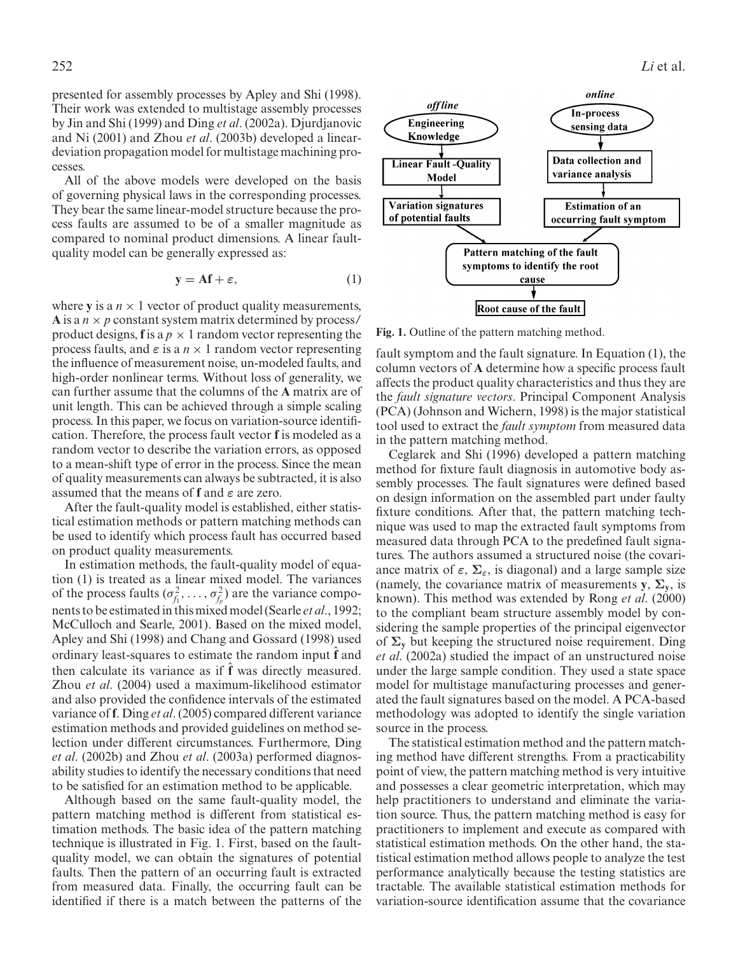presented for assembly processes by Apley and Shi (1998). Their work was extended to multistage assembly processes by Jin and Shi (1999) and Ding *et al*. (2002a). Djurdjanovic and Ni (2001) and Zhou *et al*. (2003b) developed a lineardeviation propagation model for multistage machining processes.

All of the above models were developed on the basis of governing physical laws in the corresponding processes. They bear the same linear-model structure because the process faults are assumed to be of a smaller magnitude as compared to nominal product dimensions. A linear faultquality model can be generally expressed as:

$$
y = Af + \varepsilon,\tag{1}
$$

where **y** is a  $n \times 1$  vector of product quality measurements, **A** is a  $n \times p$  constant system matrix determined by process/ product designs, **f** is a  $p \times 1$  random vector representing the process faults, and  $\varepsilon$  is a  $n \times 1$  random vector representing the influence of measurement noise, un-modeled faults, and high-order nonlinear terms. Without loss of generality, we can further assume that the columns of the **A** matrix are of unit length. This can be achieved through a simple scaling process. In this paper, we focus on variation-source identification. Therefore, the process fault vector **f** is modeled as a random vector to describe the variation errors, as opposed to a mean-shift type of error in the process. Since the mean of quality measurements can always be subtracted, it is also assumed that the means of **f** and *ε* are zero.

After the fault-quality model is established, either statistical estimation methods or pattern matching methods can be used to identify which process fault has occurred based on product quality measurements.

In estimation methods, the fault-quality model of equation (1) is treated as a linear mixed model. The variances of the process faults  $(\sigma_{f_1}^2, \ldots, \sigma_{f_p}^2)$  are the variance components to be estimated in this mixed model (Searle *et al*., 1992; McCulloch and Searle, 2001). Based on the mixed model, Apley and Shi (1998) and Chang and Gossard (1998) used ordinary least-squares to estimate the random input ˆ**f** and then calculate its variance as if ˆ**f** was directly measured. Zhou *et al*. (2004) used a maximum-likelihood estimator and also provided the confidence intervals of the estimated variance of **f**. Ding *et al*. (2005) compared different variance estimation methods and provided guidelines on method selection under different circumstances. Furthermore, Ding *et al*. (2002b) and Zhou *et al*. (2003a) performed diagnosability studies to identify the necessary conditions that need to be satisfied for an estimation method to be applicable.

Although based on the same fault-quality model, the pattern matching method is different from statistical estimation methods. The basic idea of the pattern matching technique is illustrated in Fig. 1. First, based on the faultquality model, we can obtain the signatures of potential faults. Then the pattern of an occurring fault is extracted from measured data. Finally, the occurring fault can be identified if there is a match between the patterns of the



**Fig. 1.** Outline of the pattern matching method.

fault symptom and the fault signature. In Equation (1), the column vectors of **A** determine how a specific process fault affects the product quality characteristics and thus they are the *fault signature vectors*. Principal Component Analysis (PCA) (Johnson and Wichern, 1998) is the major statistical tool used to extract the *fault symptom* from measured data in the pattern matching method.

Ceglarek and Shi (1996) developed a pattern matching method for fixture fault diagnosis in automotive body assembly processes. The fault signatures were defined based on design information on the assembled part under faulty fixture conditions. After that, the pattern matching technique was used to map the extracted fault symptoms from measured data through PCA to the predefined fault signatures. The authors assumed a structured noise (the covariance matrix of  $\varepsilon$ ,  $\Sigma$ <sub> $\varepsilon$ </sub>, is diagonal) and a large sample size (namely, the covariance matrix of measurements  $y$ ,  $\Sigma_y$ , is known). This method was extended by Rong *et al*. (2000) to the compliant beam structure assembly model by considering the sample properties of the principal eigenvector of  $\Sigma$ <sup>*y*</sup> but keeping the structured noise requirement. Ding *et al*. (2002a) studied the impact of an unstructured noise under the large sample condition. They used a state space model for multistage manufacturing processes and generated the fault signatures based on the model. A PCA-based methodology was adopted to identify the single variation source in the process.

The statistical estimation method and the pattern matching method have different strengths. From a practicability point of view, the pattern matching method is very intuitive and possesses a clear geometric interpretation, which may help practitioners to understand and eliminate the variation source. Thus, the pattern matching method is easy for practitioners to implement and execute as compared with statistical estimation methods. On the other hand, the statistical estimation method allows people to analyze the test performance analytically because the testing statistics are tractable. The available statistical estimation methods for variation-source identification assume that the covariance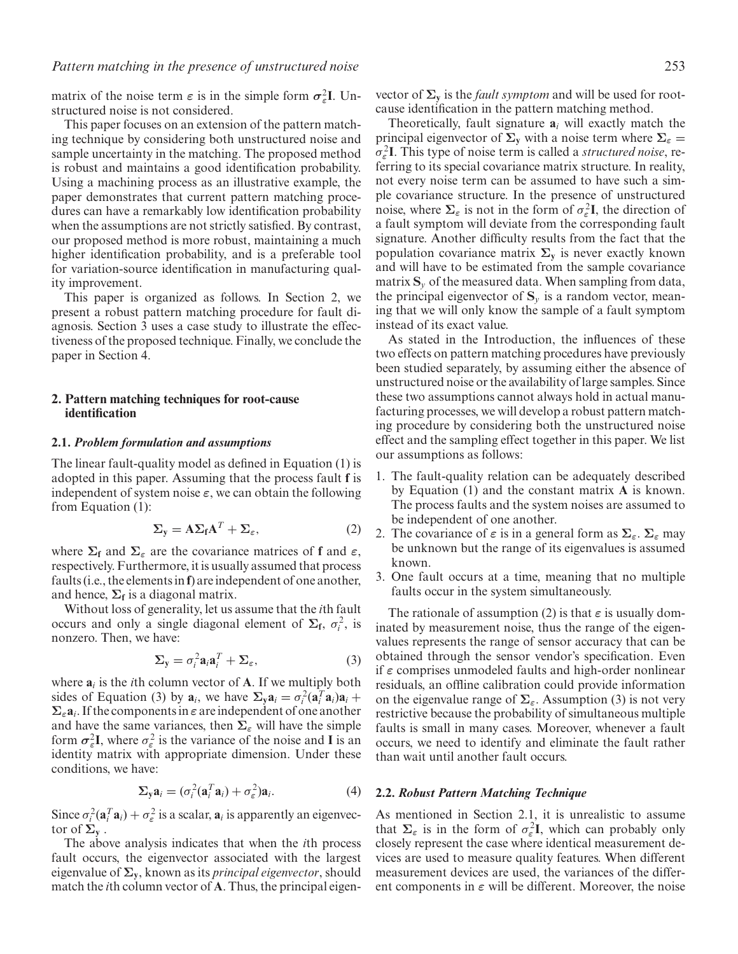matrix of the noise term  $\varepsilon$  is in the simple form  $\sigma_{\varepsilon}^2 I$ . Unstructured noise is not considered.

This paper focuses on an extension of the pattern matching technique by considering both unstructured noise and sample uncertainty in the matching. The proposed method is robust and maintains a good identification probability. Using a machining process as an illustrative example, the paper demonstrates that current pattern matching procedures can have a remarkably low identification probability when the assumptions are not strictly satisfied. By contrast, our proposed method is more robust, maintaining a much higher identification probability, and is a preferable tool for variation-source identification in manufacturing quality improvement.

This paper is organized as follows. In Section 2, we present a robust pattern matching procedure for fault diagnosis. Section 3 uses a case study to illustrate the effectiveness of the proposed technique. Finally, we conclude the paper in Section 4.

#### **2. Pattern matching techniques for root-cause identification**

#### **2.1.** *Problem formulation and assumptions*

The linear fault-quality model as defined in Equation (1) is adopted in this paper. Assuming that the process fault **f** is independent of system noise  $\varepsilon$ , we can obtain the following from Equation (1):

$$
\Sigma_{y} = A\Sigma_{f}A^{T} + \Sigma_{\varepsilon}, \qquad (2)
$$

where  $\Sigma_f$  and  $\Sigma_g$  are the covariance matrices of **f** and  $\varepsilon$ , respectively. Furthermore, it is usually assumed that process faults (i.e., the elements in **f**) are independent of one another, and hence,  $\Sigma_f$  is a diagonal matrix.

Without loss of generality, let us assume that the *i*th fault occurs and only a single diagonal element of  $\Sigma_f$ ,  $\sigma_i^2$ , is nonzero. Then, we have:

$$
\Sigma_{\mathbf{y}} = \sigma_i^2 \mathbf{a}_i \mathbf{a}_i^T + \Sigma_{\varepsilon}, \tag{3}
$$

where  $a_i$  is the *i*th column vector of **A**. If we multiply both sides of Equation (3) by  $\mathbf{a}_i$ , we have  $\sum_{y} \mathbf{a}_i = \sigma_i^2 (\mathbf{a}_i^T \mathbf{a}_i) \mathbf{a}_i + \sigma_i^2 (\mathbf{a}_i^T \mathbf{a}_i) \mathbf{a}_i$  $\Sigma_{\varepsilon} \mathbf{a}_i$ . If the components in  $\varepsilon$  are independent of one another and have the same variances, then  $\Sigma_{\varepsilon}$  will have the simple form  $\sigma_{\varepsilon}^2 I$ , where  $\sigma_{\varepsilon}^2$  is the variance of the noise and **I** is an identity matrix with appropriate dimension. Under these conditions, we have:

$$
\Sigma_{\mathbf{y}}\mathbf{a}_i = (\sigma_i^2(\mathbf{a}_i^T\mathbf{a}_i) + \sigma_\varepsilon^2)\mathbf{a}_i.
$$
 (4)

Since  $\sigma_i^2(\mathbf{a}_i^T \mathbf{a}_i) + \sigma_{\varepsilon}^2$  is a scalar,  $\mathbf{a}_i$  is apparently an eigenvector of  $\Sigma$ **v**.

The above analysis indicates that when the *i*th process fault occurs, the eigenvector associated with the largest eigenvalue of **Σy**, known as its *principal eigenvector*, should match the *i*th column vector of **A**. Thus, the principal eigenvector of  $\Sigma$ <sub>**y**</sub> is the *fault symptom* and will be used for rootcause identification in the pattern matching method.

Theoretically, fault signature  $a_i$  will exactly match the principal eigenvector of  $\Sigma$ <sub>y</sub> with a noise term where  $\Sigma$ <sub>*ε*</sub> = σ2 *<sup>ε</sup>* **I**. This type of noise term is called a *structured noise*, referring to its special covariance matrix structure. In reality, not every noise term can be assumed to have such a simple covariance structure. In the presence of unstructured noise, where  $\Sigma_{\varepsilon}$  is not in the form of  $\sigma_{\varepsilon}^2 I$ , the direction of a fault symptom will deviate from the corresponding fault signature. Another difficulty results from the fact that the population covariance matrix  $\Sigma$ <sup>*y*</sup> is never exactly known and will have to be estimated from the sample covariance matrix  $S_y$  of the measured data. When sampling from data, the principal eigenvector of  $S_\nu$  is a random vector, meaning that we will only know the sample of a fault symptom instead of its exact value.

As stated in the Introduction, the influences of these two effects on pattern matching procedures have previously been studied separately, by assuming either the absence of unstructured noise or the availability of large samples. Since these two assumptions cannot always hold in actual manufacturing processes, we will develop a robust pattern matching procedure by considering both the unstructured noise effect and the sampling effect together in this paper. We list our assumptions as follows:

- 1. The fault-quality relation can be adequately described by Equation (1) and the constant matrix **A** is known. The process faults and the system noises are assumed to be independent of one another.
- 2. The covariance of  $\varepsilon$  is in a general form as  $\Sigma_{\varepsilon}$ .  $\Sigma_{\varepsilon}$  may be unknown but the range of its eigenvalues is assumed known.
- 3. One fault occurs at a time, meaning that no multiple faults occur in the system simultaneously.

The rationale of assumption (2) is that *ε* is usually dominated by measurement noise, thus the range of the eigenvalues represents the range of sensor accuracy that can be obtained through the sensor vendor's specification. Even if *ε* comprises unmodeled faults and high-order nonlinear residuals, an offline calibration could provide information on the eigenvalue range of **Σ***ε*. Assumption (3) is not very restrictive because the probability of simultaneous multiple faults is small in many cases. Moreover, whenever a fault occurs, we need to identify and eliminate the fault rather than wait until another fault occurs.

#### **2.2.** *Robust Pattern Matching Technique*

As mentioned in Section 2.1, it is unrealistic to assume that  $\Sigma_{\varepsilon}$  is in the form of  $\sigma_{\varepsilon}^2 I$ , which can probably only closely represent the case where identical measurement devices are used to measure quality features. When different measurement devices are used, the variances of the different components in *ε* will be different. Moreover, the noise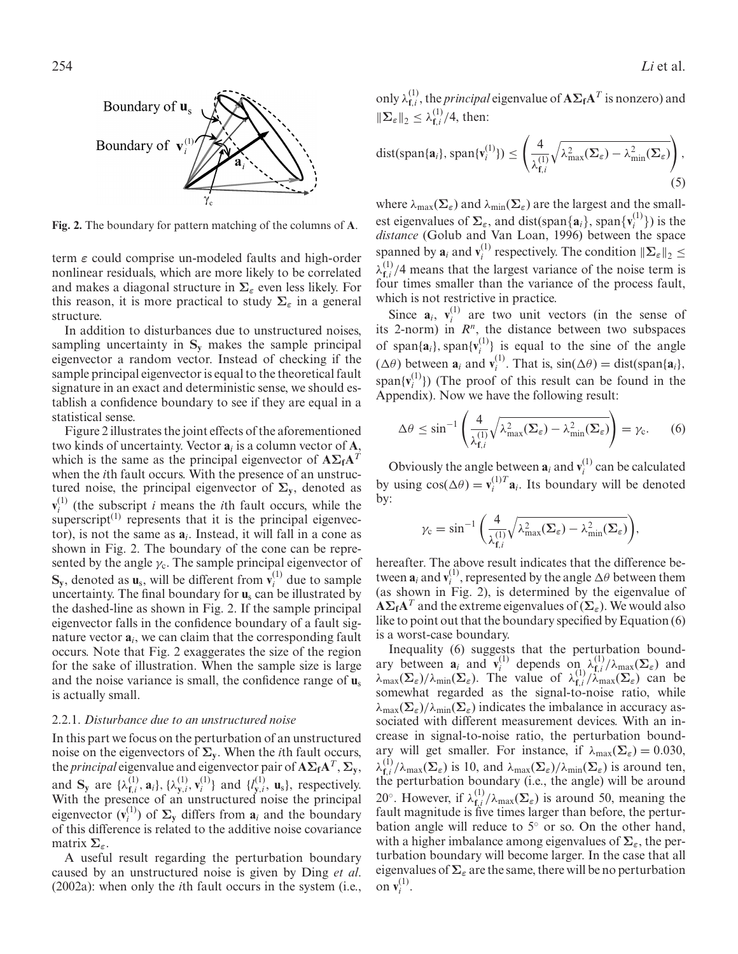

**Fig. 2.** The boundary for pattern matching of the columns of **A**.

term *ε* could comprise un-modeled faults and high-order nonlinear residuals, which are more likely to be correlated and makes a diagonal structure in **Σ***<sup>ε</sup>* even less likely. For this reason, it is more practical to study  $\Sigma_{\varepsilon}$  in a general structure.

In addition to disturbances due to unstructured noises, sampling uncertainty in **Sy** makes the sample principal eigenvector a random vector. Instead of checking if the sample principal eigenvector is equal to the theoretical fault signature in an exact and deterministic sense, we should establish a confidence boundary to see if they are equal in a statistical sense.

Figure 2 illustrates the joint effects of the aforementioned two kinds of uncertainty. Vector **a***<sup>i</sup>* is a column vector of **A**, which is the same as the principal eigenvector of **AΣfA***<sup>T</sup>* when the *i*th fault occurs. With the presence of an unstructured noise, the principal eigenvector of  $\Sigma$ <sub>**y**</sub>, denoted as  $\mathbf{v}_i^{(1)}$  (the subscript *i* means the *i*th fault occurs, while the superscript $^{(1)}$  represents that it is the principal eigenvector), is not the same as **a***i*. Instead, it will fall in a cone as shown in Fig. 2. The boundary of the cone can be represented by the angle  $\gamma_c$ . The sample principal eigenvector of  $\mathbf{S}_y$ , denoted as  $\mathbf{u}_s$ , will be different from  $\mathbf{v}_i^{(1)}$  due to sample uncertainty. The final boundary for **u**<sup>s</sup> can be illustrated by the dashed-line as shown in Fig. 2. If the sample principal eigenvector falls in the confidence boundary of a fault signature vector **a***i*, we can claim that the corresponding fault occurs. Note that Fig. 2 exaggerates the size of the region for the sake of illustration. When the sample size is large and the noise variance is small, the confidence range of **u**<sup>s</sup> is actually small.

#### 2.2.1. *Disturbance due to an unstructured noise*

In this part we focus on the perturbation of an unstructured noise on the eigenvectors of  $\Sigma$ <sub>**v**</sub>. When the *i*th fault occurs, the *principal* eigenvalue and eigenvector pair of  $\mathbf{A}\Sigma_f\mathbf{A}^T$ ,  $\Sigma_y$ , and  $S_y$  are  $\{\lambda_{f,i}^{(1)}, \mathbf{a}_i\}$ ,  $\{\lambda_{y,i}^{(1)}, \mathbf{v}_i^{(1)}\}$  and  $\{l_{y,i}^{(1)}, \mathbf{u}_s\}$ , respectively. With the presence of an unstructured noise the principal eigenvector  $(v_i^{(1)})$  of  $\Sigma$ <sub>y</sub> differs from  $a_i$  and the boundary of this difference is related to the additive noise covariance matrix **Σ***ε*.

A useful result regarding the perturbation boundary caused by an unstructured noise is given by Ding *et al*. (2002a): when only the *i*th fault occurs in the system (i.e.,

254 *Li* et al.

only  $\lambda_{f,i}^{(1)}$ , the *principal* eigenvalue of  $A\Sigma_fA^T$  is nonzero) and  $\|\mathbf{\Sigma}_{\varepsilon}\|_2 \leq \lambda_{\mathbf{f},i}^{(1)}/4$ , then:

$$
\text{dist}(\text{span}\{\mathbf{a}_i\},\text{span}\{\mathbf{v}_i^{(1)}\}) \leq \left(\frac{4}{\lambda_{\mathbf{f},i}^{(1)}}\sqrt{\lambda_{\max}^2(\boldsymbol{\Sigma}_{\varepsilon}) - \lambda_{\min}^2(\boldsymbol{\Sigma}_{\varepsilon})}\right),\tag{5}
$$

where  $\lambda_{\text{max}}(\Sigma_{\varepsilon})$  and  $\lambda_{\text{min}}(\Sigma_{\varepsilon})$  are the largest and the smallest eigenvalues of  $\Sigma_{\varepsilon}$ , and dist(span{ $\mathbf{a}_i$ }, span{ $\mathbf{v}_i^{(1)}$ }) is the *distance* (Golub and Van Loan, 1996) between the space spanned by  $\mathbf{a}_i$  and  $\mathbf{v}_i^{(1)}$  respectively. The condition  $\|\mathbf{\Sigma}_{\varepsilon}\|_2 \leq$  $\lambda_{f,i}^{(1)}/4$  means that the largest variance of the noise term is four times smaller than the variance of the process fault, which is not restrictive in practice.

Since  $\mathbf{a}_i$ ,  $\mathbf{v}_i^{(1)}$  are two unit vectors (in the sense of its 2-norm) in  $R^n$ , the distance between two subspaces of span $\{\mathbf{a}_i\}$ , span $\{\mathbf{v}_i^{(1)}\}$  is equal to the sine of the angle  $(\Delta \theta)$  between  $\mathbf{a}_i$  and  $\mathbf{v}_i^{(1)}$ . That is,  $\sin(\Delta \theta) = \text{dist}(\text{span}\{\mathbf{a}_i\},\)$  $\text{span}\{v_i^{(1)}\}\)$  (The proof of this result can be found in the Appendix). Now we have the following result:

$$
\Delta \theta \le \sin^{-1} \left( \frac{4}{\lambda_{\mathbf{f},i}^{(1)}} \sqrt{\lambda_{\max}^2(\boldsymbol{\Sigma}_{\varepsilon}) - \lambda_{\min}^2(\boldsymbol{\Sigma}_{\varepsilon})} \right) = \gamma_{\mathbf{c}}.
$$
 (6)

Obviously the angle between  $\mathbf{a}_i$  and  $\mathbf{v}_i^{(1)}$  can be calculated by using  $cos(\Delta\theta) = \mathbf{v}_i^{(1)T} \mathbf{a}_i$ . Its boundary will be denoted by:

$$
\gamma_{\text{c}}=\sin^{-1}\bigg(\frac{4}{\lambda_{\mathbf{f},i}^{(1)}}\sqrt{\lambda_{\max}^2(\boldsymbol{\Sigma}_{\varepsilon})-\lambda_{\min}^2(\boldsymbol{\Sigma}_{\varepsilon})}\bigg),
$$

hereafter. The above result indicates that the difference between  $\mathbf{a}_i$  and  $\mathbf{v}_i^{(1)}$ , represented by the angle  $\Delta\theta$  between them (as shown in Fig. 2), is determined by the eigenvalue of  $\mathbf{A}\Sigma_f\mathbf{A}^T$  and the extreme eigenvalues of  $(\Sigma_\varepsilon)$ . We would also like to point out that the boundary specified by Equation (6) is a worst-case boundary.

Inequality (6) suggests that the perturbation boundary between  $\mathbf{a}_i$  and  $\mathbf{v}_i^{(1)}$  depends  $\operatorname{on}_{i} \lambda_{\mathbf{f},i}^{(1)}/\lambda_{\max}(\mathbf{\Sigma}_{\varepsilon})$  and  $\lambda_{\max}(\Sigma_{\varepsilon})/\lambda_{\min}(\Sigma_{\varepsilon})$ . The value of  $\lambda_{f,i}^{(1)}/\lambda_{\max}^{(1)}(\Sigma_{\varepsilon})$  can be somewhat regarded as the signal-to-noise ratio, while  $\lambda_{\text{max}}(\Sigma_{\varepsilon})/\lambda_{\text{min}}(\Sigma_{\varepsilon})$  indicates the imbalance in accuracy associated with different measurement devices. With an increase in signal-to-noise ratio, the perturbation boundary will get smaller. For instance, if  $\lambda_{\text{max}}(\Sigma_{\varepsilon}) = 0.030$ ,  $\lambda_{f,i}^{(1)}/\lambda_{\max}(\Sigma_{\varepsilon})$  is 10, and  $\lambda_{\max}(\Sigma_{\varepsilon})/\lambda_{\min}(\Sigma_{\varepsilon})$  is around ten, the perturbation boundary (i.e., the angle) will be around 20°. However, if  $\lambda_{f,i}^{(1)}/\lambda_{max}(\Sigma_{\varepsilon})$  is around 50, meaning the fault magnitude is five times larger than before, the perturbation angle will reduce to 5◦ or so. On the other hand, with a higher imbalance among eigenvalues of **Σ***ε*, the perturbation boundary will become larger. In the case that all eigenvalues of **Σ***<sup>ε</sup>* are the same, there will be no perturbation on  $\mathbf{v}_i^{(1)}$ .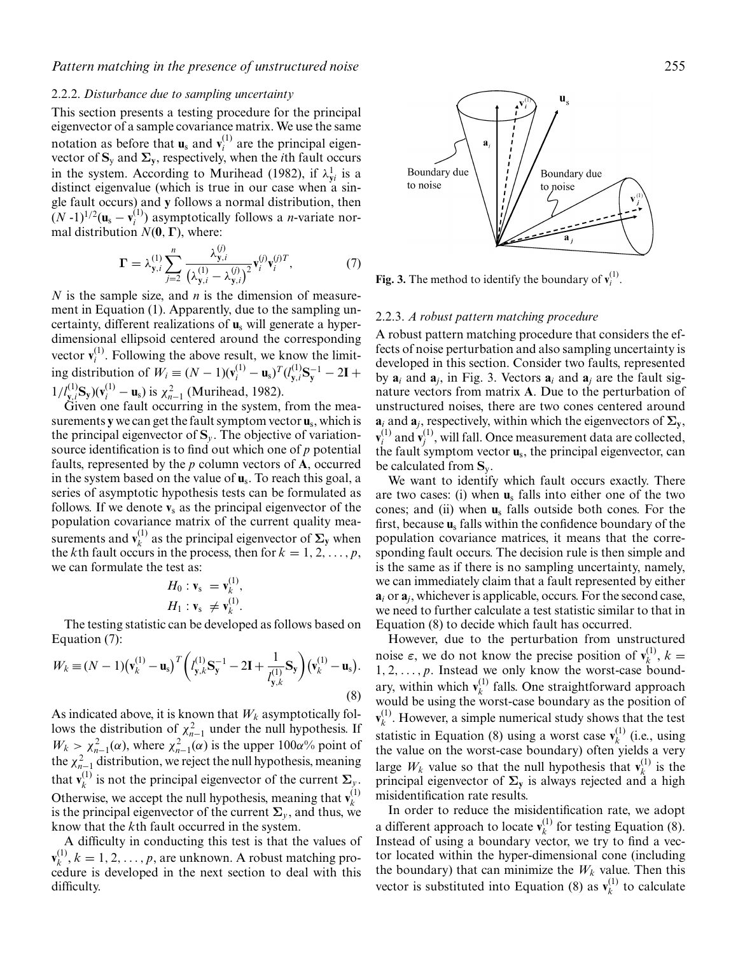#### 2.2.2. *Disturbance due to sampling uncertainty*

This section presents a testing procedure for the principal eigenvector of a sample covariance matrix. We use the same notation as before that  $\mathbf{u}_s$  and  $\mathbf{v}_i^{(1)}$  are the principal eigenvector of  $S_y$  and  $\Sigma_y$ , respectively, when the *i*th fault occurs in the system. According to Murihead (1982), if  $\lambda_{yi}^{1}$  is a distinct eigenvalue (which is true in our case when a single fault occurs) and **y** follows a normal distribution, then  $(N-1)^{1/2}$ ( $\mathbf{u}_s - \mathbf{v}_i^{(1)}$ ) asymptotically follows a *n*-variate normal distribution *N*(**0**,**Γ**), where:

$$
\Gamma = \lambda_{y,i}^{(1)} \sum_{j=2}^{n} \frac{\lambda_{y,i}^{(j)}}{(\lambda_{y,i}^{(1)} - \lambda_{y,i}^{(j)})^2} \mathbf{v}_i^{(j)} \mathbf{v}_i^{(j)T},
$$
(7)

*N* is the sample size, and *n* is the dimension of measurement in Equation (1). Apparently, due to the sampling uncertainty, different realizations of **u**<sup>s</sup> will generate a hyperdimensional ellipsoid centered around the corresponding vector  $\mathbf{v}_i^{(1)}$ . Following the above result, we know the limit- $\text{img distribution of } W_i \equiv (N-1)(v_i^{(1)} - u_s)^T (l_{y,i}^{(1)} S_y^{-1} - 2I +$  $1/l_{y,i}^{(1)}\mathbf{S}_y)(\mathbf{v}_i^{(1)} - \mathbf{u}_s)$  is  $\chi_{n-1}^2$  (Murihead, 1982).

Given one fault occurring in the system, from the measurements **y** we can get the fault symptom vector **u**s, which is the principal eigenvector of  $S_\nu$ . The objective of variationsource identification is to find out which one of *p* potential faults, represented by the *p* column vectors of **A**, occurred in the system based on the value of **u**s. To reach this goal, a series of asymptotic hypothesis tests can be formulated as follows. If we denote  $v_s$  as the principal eigenvector of the population covariance matrix of the current quality measurements and  $\mathbf{v}_k^{(1)}$  as the principal eigenvector of  $\Sigma$ <sub>y</sub> when the *k*th fault occurs in the process, then for  $k = 1, 2, \ldots, p$ , we can formulate the test as:

$$
H_0: \mathbf{v}_s = \mathbf{v}_k^{(1)},
$$
  

$$
H_1: \mathbf{v}_s \neq \mathbf{v}_k^{(1)}.
$$

The testing statistic can be developed as follows based on Equation (7):

$$
W_k \equiv (N-1) \left( \mathbf{v}_k^{(1)} - \mathbf{u}_s \right)^T \left( I_{\mathbf{y},k}^{(1)} \mathbf{S}_{\mathbf{y}}^{-1} - 2\mathbf{I} + \frac{1}{I_{\mathbf{y},k}^{(1)}} \mathbf{S}_{\mathbf{y}} \right) \left( \mathbf{v}_k^{(1)} - \mathbf{u}_s \right).
$$
\n(8)

As indicated above, it is known that  $W_k$  asymptotically follows the distribution of  $\chi_{n-1}^2$  under the null hypothesis. If  $W_k > \chi^2_{n-1}(\alpha)$ , where  $\chi^2_{n-1}(\alpha)$  is the upper 100 $\alpha$ % point of the  $\chi^2_{n-1}$  distribution, we reject the null hypothesis, meaning that  $\mathbf{v}_k^{(1)}$  is not the principal eigenvector of the current  $\Sigma_y$ . Otherwise, we accept the null hypothesis, meaning that  $\mathbf{v}_k^{(1)}$ *k* is the principal eigenvector of the current  $\Sigma$ <sub>*v*</sub>, and thus, we know that the *k*th fault occurred in the system.

A difficulty in conducting this test is that the values of  $\mathbf{v}_k^{(1)}, k = 1, 2, \ldots, p$ , are unknown. A robust matching procedure is developed in the next section to deal with this difficulty.

 $\mathbf{u}_\text{c}$ a. Boundary due Boundary due to noise to noise  $\overline{a}$ 

**Fig. 3.** The method to identify the boundary of  $\mathbf{v}_i^{(1)}$ .

#### 2.2.3. *A robust pattern matching procedure*

A robust pattern matching procedure that considers the effects of noise perturbation and also sampling uncertainty is developed in this section. Consider two faults, represented by  $\mathbf{a}_i$  and  $\mathbf{a}_j$ , in Fig. 3. Vectors  $\mathbf{a}_i$  and  $\mathbf{a}_j$  are the fault signature vectors from matrix **A**. Due to the perturbation of unstructured noises, there are two cones centered around  $a_i$  and  $a_j$ , respectively, within which the eigenvectors of  $\Sigma$ **y**,  $\mathbf{v}_i^{(1)}$  and  $\mathbf{v}_j^{(1)}$ , will fall. Once measurement data are collected, the fault symptom vector **u**s, the principal eigenvector, can be calculated from **S**y.

We want to identify which fault occurs exactly. There are two cases: (i) when **u**<sup>s</sup> falls into either one of the two cones; and (ii) when **u**<sup>s</sup> falls outside both cones. For the first, because **u**<sup>s</sup> falls within the confidence boundary of the population covariance matrices, it means that the corresponding fault occurs. The decision rule is then simple and is the same as if there is no sampling uncertainty, namely, we can immediately claim that a fault represented by either  $a_i$  or  $a_j$ , whichever is applicable, occurs. For the second case, we need to further calculate a test statistic similar to that in Equation (8) to decide which fault has occurred.

However, due to the perturbation from unstructured noise  $\varepsilon$ , we do not know the precise position of  $\mathbf{v}_k^{(1)}$ ,  $k =$  $1, 2, \ldots, p$ . Instead we only know the worst-case boundary, within which  $v_k^{(1)}$  falls. One straightforward approach would be using the worst-case boundary as the position of  $\mathbf{v}_k^{(1)}$ . However, a simple numerical study shows that the test statistic in Equation (8) using a worst case  $v_k^{(1)}$  (i.e., using the value on the worst-case boundary) often yields a very large  $W_k$  value so that the null hypothesis that  $\mathbf{v}_k^{(1)}$  is the principal eigenvector of  $\Sigma$ <sup>*y*</sup> is always rejected and a high misidentification rate results.

In order to reduce the misidentification rate, we adopt a different approach to locate  $\mathbf{v}_k^{(1)}$  for testing Equation (8). Instead of using a boundary vector, we try to find a vector located within the hyper-dimensional cone (including the boundary) that can minimize the  $W_k$  value. Then this vector is substituted into Equation (8) as  $\mathbf{v}_k^{(1)}$  to calculate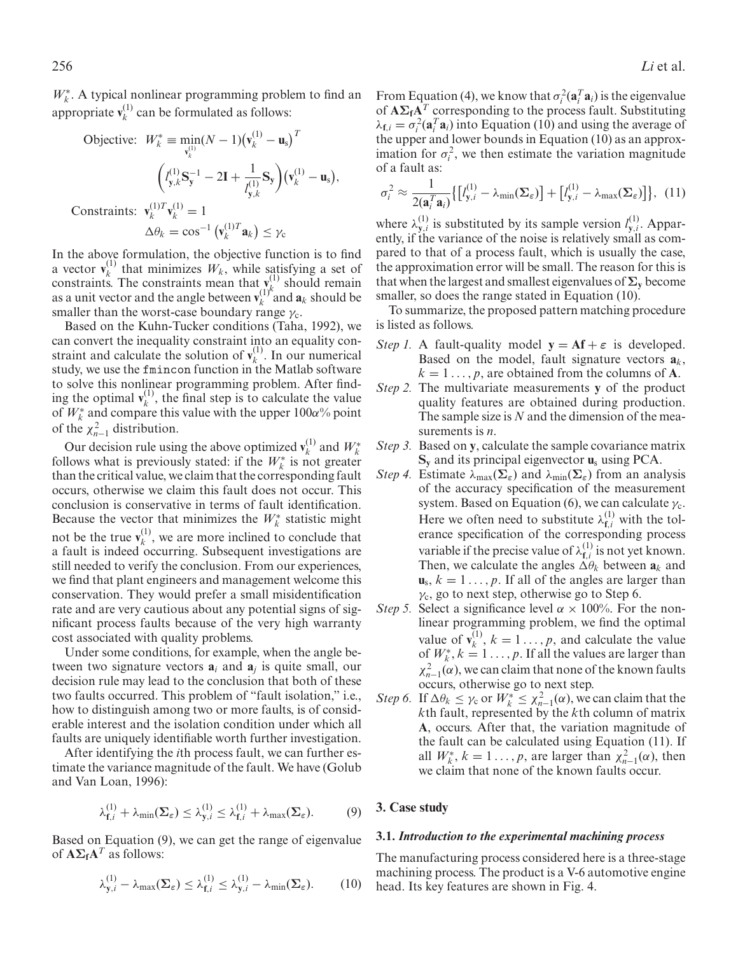*W*<sup>∗</sup><sub>*k*</sub>. A typical nonlinear programming problem to find an appropriate  $\mathbf{v}_k^{(1)}$  can be formulated as follows:

$$
\begin{aligned}\n\text{Objective:} \quad & W_k^* \equiv \min_{\mathbf{v}_k^{(1)}} (N-1) \big(\mathbf{v}_k^{(1)} - \mathbf{u}_s\big)^T \\
& \qquad \qquad \left(I_{\mathbf{y},k}^{(1)} \mathbf{S}_\mathbf{y}^{-1} - 2\mathbf{I} + \frac{1}{I_{\mathbf{y},k}^{(1)}} \mathbf{S}_\mathbf{y}\right) \big(\mathbf{v}_k^{(1)} - \mathbf{u}_s\big), \\
\text{Constraints:} \quad & \mathbf{v}_k^{(1)T} \mathbf{v}_k^{(1)} = 1 \\
& \qquad \Delta \theta_k = \cos^{-1} \big(\mathbf{v}_k^{(1)T} \mathbf{a}_k\big) \le \gamma_c\n\end{aligned}
$$

In the above formulation, the objective function is to find a vector  $\mathbf{v}_k^{(1)}$  that minimizes  $W_k$ , while satisfying a set of constraints. The constraints mean that  $\mathbf{v}_{i,k}^{(1)}$  should remain as a unit vector and the angle between  $\mathbf{v}_k^{(1)^k}$  and  $\mathbf{a}_k$  should be smaller than the worst-case boundary range  $\gamma_c$ .

Based on the Kuhn-Tucker conditions (Taha, 1992), we can convert the inequality constraint into an equality constraint and calculate the solution of  $\mathbf{v}_k^{(1)}$ . In our numerical study, we use the fmincon function in the Matlab software to solve this nonlinear programming problem. After finding the optimal  $\mathbf{v}_k^{(1)}$ , the final step is to calculate the value of  $W_k^*$  and compare this value with the upper 100 $\alpha$ % point of the  $\chi^2_{n-1}$  distribution.

Our decision rule using the above optimized  $\mathbf{v}_k^{(1)}$  and  $W^*_{k}$  follows what is previously stated: if the  $W^*_{k}$  is not greater than the critical value, we claim that the corresponding fault occurs, otherwise we claim this fault does not occur. This conclusion is conservative in terms of fault identification. Because the vector that minimizes the  $W_k^*$  statistic might not be the true  $\mathbf{v}_k^{(1)}$ , we are more inclined to conclude that a fault is indeed occurring. Subsequent investigations are still needed to verify the conclusion. From our experiences, we find that plant engineers and management welcome this conservation. They would prefer a small misidentification rate and are very cautious about any potential signs of significant process faults because of the very high warranty cost associated with quality problems.

Under some conditions, for example, when the angle between two signature vectors  $a_i$  and  $a_j$  is quite small, our decision rule may lead to the conclusion that both of these two faults occurred. This problem of "fault isolation," i.e., how to distinguish among two or more faults, is of considerable interest and the isolation condition under which all faults are uniquely identifiable worth further investigation.

After identifying the *i*th process fault, we can further estimate the variance magnitude of the fault. We have (Golub and Van Loan, 1996):

$$
\lambda_{\mathbf{f},i}^{(1)} + \lambda_{\min}(\mathbf{\Sigma}_{\varepsilon}) \leq \lambda_{\mathbf{y},i}^{(1)} \leq \lambda_{\mathbf{f},i}^{(1)} + \lambda_{\max}(\mathbf{\Sigma}_{\varepsilon}). \tag{9}
$$

Based on Equation (9), we can get the range of eigenvalue of  $A\Sigma_fA^T$  as follows:

$$
\lambda_{\mathbf{y},i}^{(1)} - \lambda_{\max}(\mathbf{\Sigma}_{\varepsilon}) \leq \lambda_{\mathbf{f},i}^{(1)} \leq \lambda_{\mathbf{y},i}^{(1)} - \lambda_{\min}(\mathbf{\Sigma}_{\varepsilon}). \tag{10}
$$

From Equation (4), we know that  $\sigma_i^2(\mathbf{a}_i^T \mathbf{a}_i)$  is the eigenvalue of **AΣfA***<sup>T</sup>* corresponding to the process fault. Substituting  $\lambda_{\mathbf{f},i} = \sigma_i^2(\mathbf{a}_i^T \mathbf{a}_i)$  into Equation (10) and using the average of the upper and lower bounds in Equation (10) as an approximation for  $\sigma_i^2$ , we then estimate the variation magnitude of a fault as:

$$
\sigma_i^2 \approx \frac{1}{2(\mathbf{a}_i^T \mathbf{a}_i)} \{ \left[ l_{\mathbf{y},i}^{(1)} - \lambda_{\min}(\mathbf{\Sigma}_{\varepsilon}) \right] + \left[ l_{\mathbf{y},i}^{(1)} - \lambda_{\max}(\mathbf{\Sigma}_{\varepsilon}) \right] \}, (11)
$$

where  $\lambda_{y,i}^{(1)}$  is substituted by its sample version  $l_{y,i}^{(1)}$ . Apparently, if the variance of the noise is relatively small as compared to that of a process fault, which is usually the case, the approximation error will be small. The reason for this is that when the largest and smallest eigenvalues of  $\Sigma$ <sup>*y*</sup> become smaller, so does the range stated in Equation (10).

To summarize, the proposed pattern matching procedure is listed as follows.

- *Step 1.* A fault-quality model  $y = Af + \varepsilon$  is developed. Based on the model, fault signature vectors  $a_k$ ,  $k = 1, \ldots, p$ , are obtained from the columns of **A**.
- *Step 2.* The multivariate measurements **y** of the product quality features are obtained during production. The sample size is *N* and the dimension of the measurements is *n*.
- *Step 3.* Based on **y**, calculate the sample covariance matrix **Sy** and its principal eigenvector **u**<sup>s</sup> using PCA.
- *Step 4.* Estimate  $\lambda_{\max}(\Sigma_{\varepsilon})$  and  $\lambda_{\min}(\Sigma_{\varepsilon})$  from an analysis of the accuracy specification of the measurement system. Based on Equation (6), we can calculate  $\gamma_c$ . Here we often need to substitute  $\lambda_{f,i}^{(1)}$  with the tolerance specification of the corresponding process variable if the precise value of  $\lambda_{f,i}^{(1)}$  is not yet known. Then, we calculate the angles  $\Delta \theta_k$  between  $a_k$  and  $\mathbf{u}_s$ ,  $k = 1 \dots, p$ . If all of the angles are larger than  $\gamma_c$ , go to next step, otherwise go to Step 6.
- *Step 5.* Select a significance level  $\alpha \times 100\%$ . For the nonlinear programming problem, we find the optimal value of  $\mathbf{v}_k^{(1)}$ ,  $k = 1 \dots, p$ , and calculate the value of  $W_k^*, k = 1 \ldots, p$ . If all the values are larger than  $\chi_{n-1}^2(\alpha)$ , we can claim that none of the known faults occurs, otherwise go to next step.
- *Step 6.* If  $\Delta \theta_k \leq \gamma_c$  or  $W_k^* \leq \chi_{n-1}^2(\alpha)$ , we can claim that the *k*th fault, represented by the *k*th column of matrix **A**, occurs. After that, the variation magnitude of the fault can be calculated using Equation (11). If all  $W_k^*$ ,  $k = 1 \dots, p$ , are larger than  $\chi^2_{n-1}(\alpha)$ , then we claim that none of the known faults occur.

## **3. Case study**

#### **3.1.** *Introduction to the experimental machining process*

The manufacturing process considered here is a three-stage machining process. The product is a V-6 automotive engine head. Its key features are shown in Fig. 4.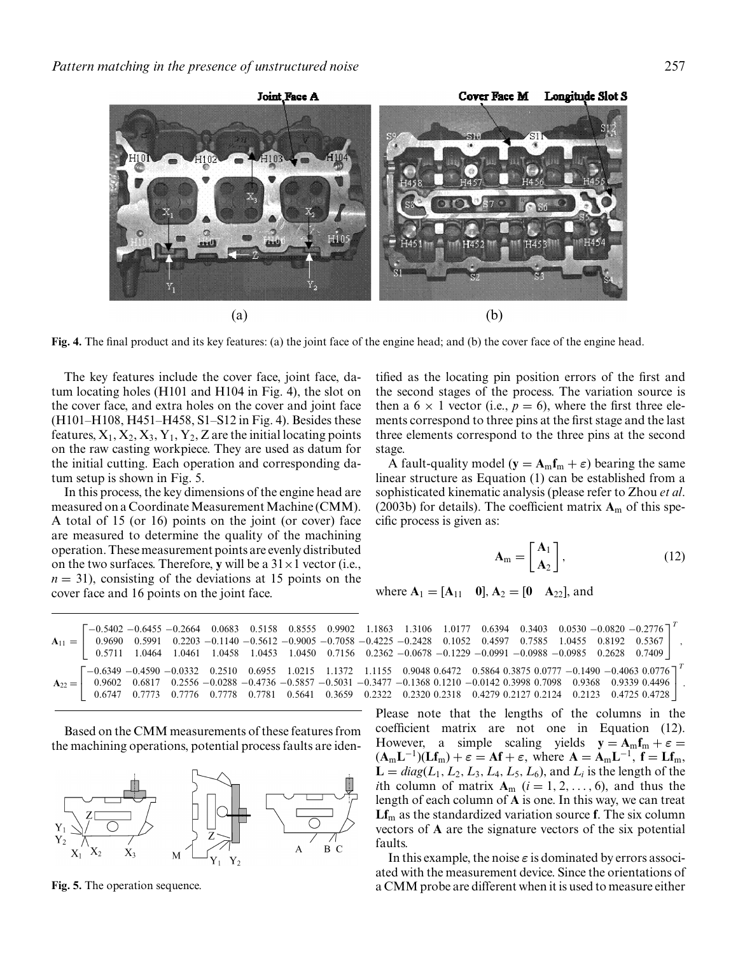

**Fig. 4.** The final product and its key features: (a) the joint face of the engine head; and (b) the cover face of the engine head.

The key features include the cover face, joint face, datum locating holes (H101 and H104 in Fig. 4), the slot on the cover face, and extra holes on the cover and joint face (H101–H108, H451–H458, S1–S12 in Fig. 4). Besides these features,  $X_1, X_2, X_3, Y_1, Y_2, Z$  are the initial locating points on the raw casting workpiece. They are used as datum for the initial cutting. Each operation and corresponding datum setup is shown in Fig. 5.

In this process, the key dimensions of the engine head are measured on a Coordinate Measurement Machine (CMM). A total of 15 (or 16) points on the joint (or cover) face are measured to determine the quality of the machining operation. These measurement points are evenly distributed on the two surfaces. Therefore, **y** will be a  $31 \times 1$  vector (i.e.,  $n = 31$ , consisting of the deviations at 15 points on the cover face and 16 points on the joint face.

tified as the locating pin position errors of the first and the second stages of the process. The variation source is then a  $6 \times 1$  vector (i.e.,  $p = 6$ ), where the first three elements correspond to three pins at the first stage and the last three elements correspond to the three pins at the second stage.

A fault-quality model ( $\mathbf{y} = \mathbf{A}_{\text{m}} \mathbf{f}_{\text{m}} + \varepsilon$ ) bearing the same linear structure as Equation (1) can be established from a sophisticated kinematic analysis (please refer to Zhou *et al*. (2003b) for details). The coefficient matrix  $A_m$  of this specific process is given as:

$$
\mathbf{A}_{\mathrm{m}} = \begin{bmatrix} \mathbf{A}_{1} \\ \mathbf{A}_{2} \end{bmatrix},\tag{12}
$$

where  $A_1 = [A_{11} \ 0], A_2 = [0 \ A_{22}],$  and

|  |  |  |  |  |  | $\begin{bmatrix} -0.5402 & -0.6455 & -0.2664 & 0.0683 & 0.5158 & 0.8555 & 0.9902 & 1.1863 & 1.3106 & 1.0177 & 0.6394 & 0.3403 & 0.0530 & -0.0820 & -0.2776 \end{bmatrix}^T$                                                       |  |  |
|--|--|--|--|--|--|-----------------------------------------------------------------------------------------------------------------------------------------------------------------------------------------------------------------------------------|--|--|
|  |  |  |  |  |  | $A_{11} =$ 0.9690 0.5991 0.2203 -0.1140 -0.5612 -0.9005 -0.7058 -0.4225 -0.2428 0.1052 0.4597 0.7585 1.0455 0.8192 0.5367                                                                                                         |  |  |
|  |  |  |  |  |  | $0.5711$ $1.0464$ $1.0461$ $1.0458$ $1.0453$ $1.0450$ $0.7156$ $0.2362 -0.0678 -0.1229 -0.0991 -0.0988 -0.0985$ $0.2628$ $0.7409$                                                                                                 |  |  |
|  |  |  |  |  |  | $\begin{bmatrix} -0.6349 & -0.4590 & -0.0332 & 0.2510 & 0.6955 & 1.0215 & 1.1372 & 1.1155 & 0.9048 & 0.6472 & 0.5864 & 0.3875 & 0.0777 & -0.1490 & -0.4063 & 0.0776 \end{bmatrix}^T$                                              |  |  |
|  |  |  |  |  |  | $A_{22} =$ 0.9602 0.6817 0.2556 -0.0288 -0.4736 -0.5857 -0.5031 -0.3477 -0.1368 0.1210 -0.0142 0.3998 0.7098 0.9368 0.9339 0.4496                                                                                                 |  |  |
|  |  |  |  |  |  | $0.6747 \quad 0.7773 \quad 0.7776 \quad 0.7778 \quad 0.7781 \quad 0.5641 \quad 0.3659 \quad 0.2322 \quad 0.2320 \quad 0.2318 \quad 0.4279 \quad 0.2127 \quad 0.2124 \quad 0.2123 \quad 0.4725 \quad 0.4728 \quad \rule{0pt}{0pt}$ |  |  |

Based on the CMM measurements of these features from the machining operations, potential process faults are iden-



**Fig. 5.** The operation sequence.

Please note that the lengths of the columns in the coefficient matrix are not one in Equation (12). However, a simple scaling yields  $y = A_m f_m + \varepsilon$  $(A_m L^{-1})(Lf_m) + \varepsilon = Af + \varepsilon$ , where  $A = A_m L^{-1}$ ,  $f = Lf_m$ ,  $L = diag(L_1, L_2, L_3, L_4, L_5, L_6)$ , and  $L_i$  is the length of the *i*th column of matrix  $A_m$  ( $i = 1, 2, ..., 6$ ), and thus the length of each column of **A** is one. In this way, we can treat **Lf**<sup>m</sup> as the standardized variation source **f**. The six column vectors of **A** are the signature vectors of the six potential faults.

In this example, the noise  $\varepsilon$  is dominated by errors associ-ated with the measurement device. Since the orientations of a CMM probe are different when it is used to measure either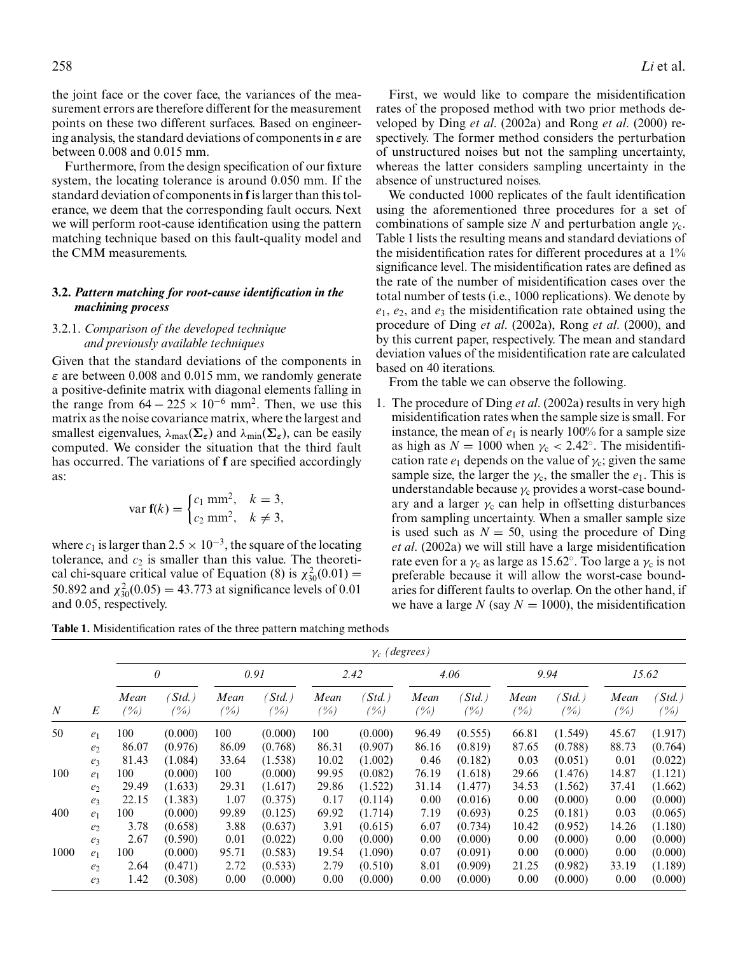the joint face or the cover face, the variances of the measurement errors are therefore different for the measurement points on these two different surfaces. Based on engineering analysis, the standard deviations of components in *ε* are between 0.008 and 0.015 mm.

Furthermore, from the design specification of our fixture system, the locating tolerance is around 0.050 mm. If the standard deviation of components in **f**is larger than this tolerance, we deem that the corresponding fault occurs. Next we will perform root-cause identification using the pattern matching technique based on this fault-quality model and the CMM measurements.

# **3.2.** *Pattern matching for root-cause identification in the machining process*

## 3.2.1. *Comparison of the developed technique and previously available techniques*

Given that the standard deviations of the components in *ε* are between 0.008 and 0.015 mm, we randomly generate a positive-definite matrix with diagonal elements falling in the range from  $64 - 225 \times 10^{-6}$  mm<sup>2</sup>. Then, we use this matrix as the noise covariance matrix, where the largest and smallest eigenvalues,  $\lambda_{\text{max}}(\Sigma_{\varepsilon})$  and  $\lambda_{\text{min}}(\Sigma_{\varepsilon})$ , can be easily computed. We consider the situation that the third fault has occurred. The variations of **f** are specified accordingly as:

$$
\text{var } f(k) = \begin{cases} c_1 \text{ mm}^2, & k = 3, \\ c_2 \text{ mm}^2, & k \neq 3, \end{cases}
$$

where  $c_1$  is larger than 2.5  $\times$  10<sup>-3</sup>, the square of the locating tolerance, and  $c_2$  is smaller than this value. The theoretical chi-square critical value of Equation (8) is  $\chi_{30}^2(0.01)$  = 50.892 and  $\chi_{30}^2(0.05) = 43.773$  at significance levels of 0.01 and 0.05, respectively.

First, we would like to compare the misidentification rates of the proposed method with two prior methods developed by Ding *et al*. (2002a) and Rong *et al*. (2000) respectively. The former method considers the perturbation of unstructured noises but not the sampling uncertainty, whereas the latter considers sampling uncertainty in the absence of unstructured noises.

We conducted 1000 replicates of the fault identification using the aforementioned three procedures for a set of combinations of sample size *N* and perturbation angle  $\gamma_c$ . Table 1 lists the resulting means and standard deviations of the misidentification rates for different procedures at a 1% significance level. The misidentification rates are defined as the rate of the number of misidentification cases over the total number of tests (i.e., 1000 replications). We denote by *e*1, *e*2, and *e*<sup>3</sup> the misidentification rate obtained using the procedure of Ding *et al*. (2002a), Rong *et al*. (2000), and by this current paper, respectively. The mean and standard deviation values of the misidentification rate are calculated based on 40 iterations.

From the table we can observe the following.

1. The procedure of Ding *et al*. (2002a) results in very high misidentification rates when the sample size is small. For instance, the mean of  $e_1$  is nearly 100% for a sample size as high as  $N = 1000$  when  $\gamma_c < 2.42^\circ$ . The misidentification rate  $e_1$  depends on the value of  $\gamma_c$ ; given the same sample size, the larger the  $\gamma_c$ , the smaller the  $e_1$ . This is understandable because  $\gamma_c$  provides a worst-case boundary and a larger  $\gamma_c$  can help in offsetting disturbances from sampling uncertainty. When a smaller sample size is used such as  $N = 50$ , using the procedure of Ding *et al*. (2002a) we will still have a large misidentification rate even for a  $\gamma_c$  as large as 15.62°. Too large a  $\gamma_c$  is not preferable because it will allow the worst-case boundaries for different faults to overlap. On the other hand, if we have a large *N* (say  $N = 1000$ ), the misidentification

**Table 1.** Misidentification rates of the three pattern matching methods

|                  |                  | $\gamma_c$ (degrees) |                              |                  |                      |                  |                      |                |                              |                |                              |                |                    |  |  |
|------------------|------------------|----------------------|------------------------------|------------------|----------------------|------------------|----------------------|----------------|------------------------------|----------------|------------------------------|----------------|--------------------|--|--|
| $\boldsymbol{N}$ |                  | $\theta$             |                              | 0.91             |                      | 2.42             |                      | 4.06           |                              | 9.94           |                              | 15.62          |                    |  |  |
|                  | $\boldsymbol{E}$ | Mean<br>'%)          | $\mathcal{S}td.$ )<br>$(\%)$ | Mean<br>$( \% )$ | $Std.$ )<br>$( \% )$ | Mean<br>$( \% )$ | $Std.$ )<br>$( \% )$ | Mean<br>$(\%)$ | $\mathcal{S}td.$ )<br>$(\%)$ | Mean<br>$(\%)$ | $\mathcal{S}td.$ )<br>$(\%)$ | Mean<br>$(\%)$ | $Std.$ )<br>$(\%)$ |  |  |
| 50               | e <sub>1</sub>   | 100                  | (0.000)                      | 100              | (0.000)              | 100              | (0.000)              | 96.49          | (0.555)                      | 66.81          | (1.549)                      | 45.67          | (1.917)            |  |  |
|                  | e <sub>2</sub>   | 86.07                | (0.976)                      | 86.09            | (0.768)              | 86.31            | (0.907)              | 86.16          | (0.819)                      | 87.65          | (0.788)                      | 88.73          | (0.764)            |  |  |
|                  | $e_3$            | 81.43                | (1.084)                      | 33.64            | (1.538)              | 10.02            | (1.002)              | 0.46           | (0.182)                      | 0.03           | (0.051)                      | 0.01           | (0.022)            |  |  |
| 100              | e <sub>1</sub>   | 100                  | (0.000)                      | 100              | (0.000)              | 99.95            | (0.082)              | 76.19          | (1.618)                      | 29.66          | (1.476)                      | 14.87          | (1.121)            |  |  |
|                  | e <sub>2</sub>   | 29.49                | (1.633)                      | 29.31            | (1.617)              | 29.86            | (1.522)              | 31.14          | (1.477)                      | 34.53          | (1.562)                      | 37.41          | (1.662)            |  |  |
|                  | $e_3$            | 22.15                | (1.383)                      | 1.07             | (0.375)              | 0.17             | (0.114)              | 0.00           | (0.016)                      | 0.00           | (0.000)                      | 0.00           | (0.000)            |  |  |
| 400              | e <sub>1</sub>   | 100                  | (0.000)                      | 99.89            | (0.125)              | 69.92            | (1.714)              | 7.19           | (0.693)                      | 0.25           | (0.181)                      | 0.03           | (0.065)            |  |  |
|                  | e <sub>2</sub>   | 3.78                 | (0.658)                      | 3.88             | (0.637)              | 3.91             | (0.615)              | 6.07           | (0.734)                      | 10.42          | (0.952)                      | 14.26          | (1.180)            |  |  |
|                  | e <sub>3</sub>   | 2.67                 | (0.590)                      | 0.01             | (0.022)              | 0.00             | (0.000)              | 0.00           | (0.000)                      | 0.00           | (0.000)                      | 0.00           | (0.000)            |  |  |
| 1000             | e <sub>1</sub>   | 100                  | (0.000)                      | 95.71            | (0.583)              | 19.54            | (1.090)              | 0.07           | (0.091)                      | 0.00           | (0.000)                      | 0.00           | (0.000)            |  |  |
|                  | e <sub>2</sub>   | 2.64                 | (0.471)                      | 2.72             | (0.533)              | 2.79             | (0.510)              | 8.01           | (0.909)                      | 21.25          | (0.982)                      | 33.19          | (1.189)            |  |  |
|                  | e <sub>3</sub>   | 1.42                 | (0.308)                      | 0.00             | (0.000)              | 0.00             | (0.000)              | 0.00           | (0.000)                      | 0.00           | (0.000)                      | 0.00           | (0.000)            |  |  |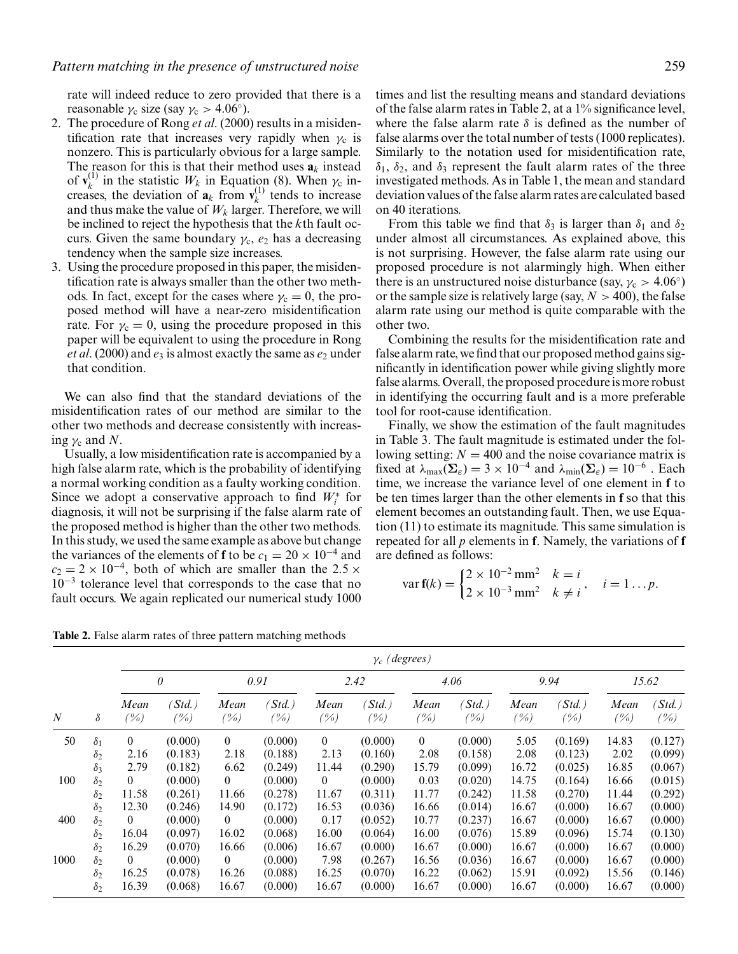rate will indeed reduce to zero provided that there is a reasonable  $\gamma_c$  size (say  $\gamma_c > 4.06^\circ$ ).

- 2. The procedure of Rong *et al*. (2000) results in a misidentification rate that increases very rapidly when  $\gamma_c$  is nonzero. This is particularly obvious for a large sample. The reason for this is that their method uses  $a_k$  instead of  $\mathbf{v}_k^{(1)}$  in the statistic  $W_k$  in Equation (8). When  $\gamma_c$  increases, the deviation of  $\mathbf{a}_k$  from  $\mathbf{v}_k^{(1)}$  tends to increase and thus make the value of  $W_k$  larger. Therefore, we will be inclined to reject the hypothesis that the *k*th fault occurs. Given the same boundary  $\gamma_c$ ,  $e_2$  has a decreasing tendency when the sample size increases.
- 3. Using the procedure proposed in this paper, the misidentification rate is always smaller than the other two methods. In fact, except for the cases where  $\gamma_c = 0$ , the proposed method will have a near-zero misidentification rate. For  $\gamma_c = 0$ , using the procedure proposed in this paper will be equivalent to using the procedure in Rong *et al.* (2000) and  $e_3$  is almost exactly the same as  $e_2$  under that condition.

We can also find that the standard deviations of the misidentification rates of our method are similar to the other two methods and decrease consistently with increasing  $\gamma_c$  and N.

Usually, a low misidentification rate is accompanied by a high false alarm rate, which is the probability of identifying a normal working condition as a faulty working condition. Since we adopt a conservative approach to find  $W_i^*$  for diagnosis, it will not be surprising if the false alarm rate of the proposed method is higher than the other two methods. In this study, we used the same example as above but change the variances of the elements of **f** to be  $c_1 = 20 \times 10^{-4}$  and  $c_2 = 2 \times 10^{-4}$ , both of which are smaller than the 2.5  $\times$ 10<sup>−</sup><sup>3</sup> tolerance level that corresponds to the case that no fault occurs. We again replicated our numerical study 1000 times and list the resulting means and standard deviations of the false alarm rates in Table 2, at a 1% significance level, where the false alarm rate  $\delta$  is defined as the number of false alarms over the total number of tests (1000 replicates). Similarly to the notation used for misidentification rate,  $\delta_1$ ,  $\delta_2$ , and  $\delta_3$  represent the fault alarm rates of the three investigated methods. As in Table 1, the mean and standard deviation values of the false alarm rates are calculated based on 40 iterations.

From this table we find that  $\delta_3$  is larger than  $\delta_1$  and  $\delta_2$ under almost all circumstances. As explained above, this is not surprising. However, the false alarm rate using our proposed procedure is not alarmingly high. When either there is an unstructured noise disturbance (say,  $\gamma_c > 4.06°$ ) or the sample size is relatively large (say,  $N > 400$ ), the false alarm rate using our method is quite comparable with the other two.

Combining the results for the misidentification rate and false alarm rate, we find that our proposed method gains significantly in identification power while giving slightly more false alarms. Overall, the proposed procedure is more robust in identifying the occurring fault and is a more preferable tool for root-cause identification.

Finally, we show the estimation of the fault magnitudes in Table 3. The fault magnitude is estimated under the following setting:  $N = 400$  and the noise covariance matrix is fixed at  $\lambda_{\text{max}}(\Sigma_{\varepsilon}) = 3 \times 10^{-4}$  and  $\lambda_{\text{min}}(\Sigma_{\varepsilon}) = 10^{-6}$ . Each time, we increase the variance level of one element in **f** to be ten times larger than the other elements in **f** so that this element becomes an outstanding fault. Then, we use Equation (11) to estimate its magnitude. This same simulation is repeated for all *p* elements in **f**. Namely, the variations of **f** are defined as follows:

$$
\text{var } \mathbf{f}(k) = \begin{cases} 2 \times 10^{-2} \text{ mm}^2 & k = i \\ 2 \times 10^{-3} \text{ mm}^2 & k \neq i \end{cases}, \quad i = 1 \dots p.
$$

**Table 2.** False alarm rates of three pattern matching methods

|                  |            | $\gamma_c$ (degrees) |                       |                |                                |                  |                              |                |                            |                 |                   |                |                 |  |  |
|------------------|------------|----------------------|-----------------------|----------------|--------------------------------|------------------|------------------------------|----------------|----------------------------|-----------------|-------------------|----------------|-----------------|--|--|
|                  |            | $\theta$             |                       | 0.91           |                                | 2.42             |                              | 4.06           |                            | 9.94            |                   | 15.62          |                 |  |  |
| $\boldsymbol{N}$ | $\delta$   | Mean<br>$(\%)$       | $\delta$ std.)<br>(%) | Mean<br>$(\%)$ | $\mathcal{S}td.$ )<br>$( \% )$ | Mean<br>$( \% )$ | $\mathcal{S}td.$ )<br>$(\%)$ | Mean<br>(%)    | $\delta$ std.)<br>$( \% )$ | Mean<br>$(\% )$ | (Std.)<br>$(\% )$ | Mean<br>$(\%)$ | $Std.$ )<br>(%) |  |  |
| 50               | $\delta_1$ | $\overline{0}$       | (0.000)               | $\overline{0}$ | (0.000)                        | $\overline{0}$   | (0.000)                      | $\overline{0}$ | (0.000)                    | 5.05            | (0.169)           | 14.83          | (0.127)         |  |  |
|                  | $\delta_2$ | 2.16                 | (0.183)               | 2.18           | (0.188)                        | 2.13             | (0.160)                      | 2.08           | (0.158)                    | 2.08            | (0.123)           | 2.02           | (0.099)         |  |  |
|                  | $\delta_3$ | 2.79                 | (0.182)               | 6.62           | (0.249)                        | 11.44            | (0.290)                      | 15.79          | (0.099)                    | 16.72           | (0.025)           | 16.85          | (0.067)         |  |  |
| 100              | $\delta_2$ | $\overline{0}$       | (0.000)               | $\theta$       | (0.000)                        | $\bf{0}$         | (0.000)                      | 0.03           | (0.020)                    | 14.75           | (0.164)           | 16.66          | (0.015)         |  |  |
|                  | $\delta_2$ | 11.58                | (0.261)               | 11.66          | (0.278)                        | 11.67            | (0.311)                      | 11.77          | (0.242)                    | 11.58           | (0.270)           | 11.44          | (0.292)         |  |  |
|                  | $\delta_2$ | 12.30                | (0.246)               | 14.90          | (0.172)                        | 16.53            | (0.036)                      | 16.66          | (0.014)                    | 16.67           | (0.000)           | 16.67          | (0.000)         |  |  |
| 400              | $\delta_2$ | $\overline{0}$       | (0.000)               | $\overline{0}$ | (0.000)                        | 0.17             | (0.052)                      | 10.77          | (0.237)                    | 16.67           | (0.000)           | 16.67          | (0.000)         |  |  |
|                  | $\delta_2$ | 16.04                | (0.097)               | 16.02          | (0.068)                        | 16.00            | (0.064)                      | 16.00          | (0.076)                    | 15.89           | (0.096)           | 15.74          | (0.130)         |  |  |
|                  | $\delta_2$ | 16.29                | (0.070)               | 16.66          | (0.006)                        | 16.67            | (0.000)                      | 16.67          | (0.000)                    | 16.67           | (0.000)           | 16.67          | (0.000)         |  |  |
| 1000             | $\delta_2$ | $\theta$             | (0.000)               | $\overline{0}$ | (0.000)                        | 7.98             | (0.267)                      | 16.56          | (0.036)                    | 16.67           | (0.000)           | 16.67          | (0.000)         |  |  |
|                  | $\delta_2$ | 16.25                | (0.078)               | 16.26          | (0.088)                        | 16.25            | (0.070)                      | 16.22          | (0.062)                    | 15.91           | (0.092)           | 15.56          | (0.146)         |  |  |
|                  | $\delta_2$ | 16.39                | (0.068)               | 16.67          | (0.000)                        | 16.67            | (0.000)                      | 16.67          | (0.000)                    | 16.67           | (0.000)           | 16.67          | (0.000)         |  |  |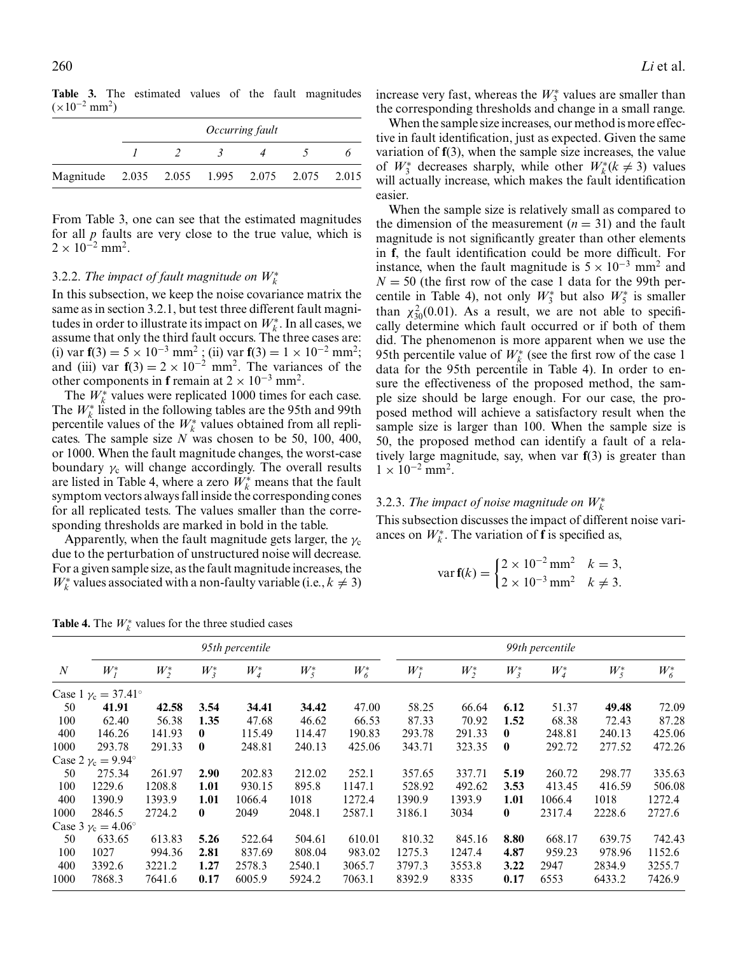**Table 3.** The estimated values of the fault magnitudes  $(x10^{-2}$  mm<sup>2</sup>)

|                                               | <i>Occurring fault</i> |               |  |  |  |  |  |  |  |  |  |  |
|-----------------------------------------------|------------------------|---------------|--|--|--|--|--|--|--|--|--|--|
|                                               |                        | $\sim$ $\sim$ |  |  |  |  |  |  |  |  |  |  |
| Magnitude 2.035 2.055 1.995 2.075 2.075 2.015 |                        |               |  |  |  |  |  |  |  |  |  |  |

From Table 3, one can see that the estimated magnitudes for all *p* faults are very close to the true value, which is  $2 \times 10^{-2}$  mm<sup>2</sup>.

# 3.2.2. The impact of fault magnitude on  $W_k^*$

In this subsection, we keep the noise covariance matrix the same as in section 3.2.1, but test three different fault magnitudes in order to illustrate its impact on  $W_k^*$ . In all cases, we assume that only the third fault occurs. The three cases are: (i) var **f**(3) = 5 × 10<sup>−</sup><sup>3</sup> mm2 ; (ii) var **f**(3) = 1 × 10<sup>−</sup><sup>2</sup> mm2; and (iii) var  $f(3) = 2 \times 10^{-2}$  mm<sup>2</sup>. The variances of the other components in **f** remain at  $2 \times 10^{-3}$  mm<sup>2</sup>.

The  $W_k^*$  values were replicated 1000 times for each case. The  $W_k^*$  listed in the following tables are the 95th and 99th percentile values of the *W*<sup>∗</sup> *<sup>k</sup>* values obtained from all replicates. The sample size *N* was chosen to be 50, 100, 400, or 1000. When the fault magnitude changes, the worst-case boundary  $\gamma_c$  will change accordingly. The overall results are listed in Table 4, where a zero  $W_k^*$  means that the fault symptom vectors always fall inside the corresponding cones for all replicated tests. The values smaller than the corresponding thresholds are marked in bold in the table.

Apparently, when the fault magnitude gets larger, the  $\gamma_c$ due to the perturbation of unstructured noise will decrease. For a given sample size, as the fault magnitude increases, the  $W_k^*$  values associated with a non-faulty variable (i.e.,  $k \neq 3$ )

increase very fast, whereas the  $W_3^*$  values are smaller than the corresponding thresholds and change in a small range.

When the sample size increases, our method is more effective in fault identification, just as expected. Given the same variation of **f**(3), when the sample size increases, the value of  $W^*_3$  decreases sharply, while other  $W^*_k(k \neq 3)$  values will actually increase, which makes the fault identification easier.

When the sample size is relatively small as compared to the dimension of the measurement  $(n = 31)$  and the fault magnitude is not significantly greater than other elements in **f**, the fault identification could be more difficult. For instance, when the fault magnitude is  $5 \times 10^{-3}$  mm<sup>2</sup> and  $N = 50$  (the first row of the case 1 data for the 99th percentile in Table 4), not only  $W_3^*$  but also  $W_5^*$  is smaller than  $\chi_{30}^2(0.01)$ . As a result, we are not able to specifically determine which fault occurred or if both of them did. The phenomenon is more apparent when we use the 95th percentile value of  $W_k^*$  (see the first row of the case 1 data for the 95th percentile in Table 4). In order to ensure the effectiveness of the proposed method, the sample size should be large enough. For our case, the proposed method will achieve a satisfactory result when the sample size is larger than 100. When the sample size is 50, the proposed method can identify a fault of a relatively large magnitude, say, when var **f**(3) is greater than  $1 \times 10^{-2}$  mm<sup>2</sup>.

# 3.2.3. The impact of noise magnitude on  $W_k^*$

This subsection discusses the impact of different noise variances on  $W_k^*$ . The variation of **f** is specified as,

$$
\text{var } \mathbf{f}(k) = \begin{cases} 2 \times 10^{-2} \text{ mm}^2 & k = 3, \\ 2 \times 10^{-3} \text{ mm}^2 & k \neq 3. \end{cases}
$$

|                  |                                   |         |          | 95th percentile |         | 99th percentile |         |         |              |         |         |         |
|------------------|-----------------------------------|---------|----------|-----------------|---------|-----------------|---------|---------|--------------|---------|---------|---------|
| $\boldsymbol{N}$ | $W_I^*$                           | $W_2^*$ | $W_3^*$  | $W_4^*$         | $W_5^*$ | $W^*_6$         | $W_I^*$ | $W_2^*$ | $W_3^*$      | $W_4^*$ | $W_5^*$ | $W^*_6$ |
|                  | Case 1 $\gamma_c = 37.41^{\circ}$ |         |          |                 |         |                 |         |         |              |         |         |         |
| 50               | 41.91                             | 42.58   | 3.54     | 34.41           | 34.42   | 47.00           | 58.25   | 66.64   | 6.12         | 51.37   | 49.48   | 72.09   |
| 100              | 62.40                             | 56.38   | 1.35     | 47.68           | 46.62   | 66.53           | 87.33   | 70.92   | 1.52         | 68.38   | 72.43   | 87.28   |
| 400              | 146.26                            | 141.93  | 0        | 115.49          | 114.47  | 190.83          | 293.78  | 291.33  | $\mathbf{0}$ | 248.81  | 240.13  | 425.06  |
| 1000             | 293.78                            | 291.33  | $\bf{0}$ | 248.81          | 240.13  | 425.06          | 343.71  | 323.35  | $\bf{0}$     | 292.72  | 277.52  | 472.26  |
|                  | Case 2 $\gamma_c = 9.94^\circ$    |         |          |                 |         |                 |         |         |              |         |         |         |
| 50               | 275.34                            | 261.97  | 2.90     | 202.83          | 212.02  | 252.1           | 357.65  | 337.71  | 5.19         | 260.72  | 298.77  | 335.63  |
| 100              | 1229.6                            | 1208.8  | 1.01     | 930.15          | 895.8   | 1147.1          | 528.92  | 492.62  | 3.53         | 413.45  | 416.59  | 506.08  |
| 400              | 1390.9                            | 1393.9  | 1.01     | 1066.4          | 1018    | 1272.4          | 1390.9  | 1393.9  | 1.01         | 1066.4  | 1018    | 1272.4  |
| 1000             | 2846.5                            | 2724.2  | $\bf{0}$ | 2049            | 2048.1  | 2587.1          | 3186.1  | 3034    | $\bf{0}$     | 2317.4  | 2228.6  | 2727.6  |
|                  | Case $3 \gamma_c = 4.06^\circ$    |         |          |                 |         |                 |         |         |              |         |         |         |
| 50               | 633.65                            | 613.83  | 5.26     | 522.64          | 504.61  | 610.01          | 810.32  | 845.16  | 8.80         | 668.17  | 639.75  | 742.43  |
| 100              | 1027                              | 994.36  | 2.81     | 837.69          | 808.04  | 983.02          | 1275.3  | 1247.4  | 4.87         | 959.23  | 978.96  | 1152.6  |
| 400              | 3392.6                            | 3221.2  | 1.27     | 2578.3          | 2540.1  | 3065.7          | 3797.3  | 3553.8  | 3.22         | 2947    | 2834.9  | 3255.7  |
| 1000             | 7868.3                            | 7641.6  | 0.17     | 6005.9          | 5924.2  | 7063.1          | 8392.9  | 8335    | 0.17         | 6553    | 6433.2  | 7426.9  |

**Table 4.** The  $W_k^*$  values for the three studied cases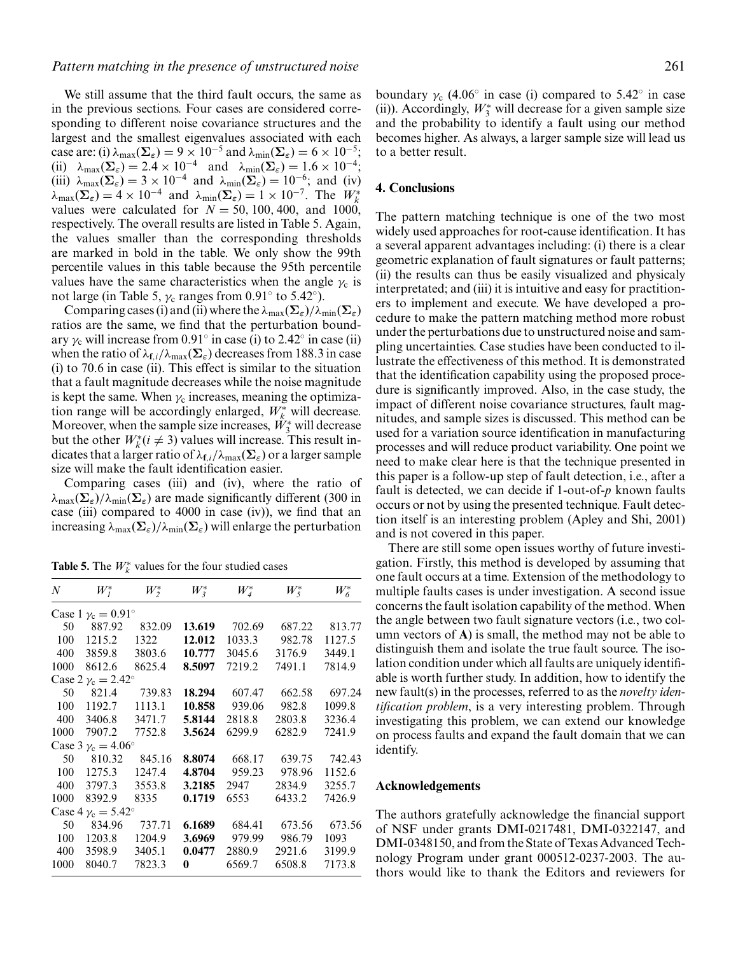We still assume that the third fault occurs, the same as in the previous sections. Four cases are considered corresponding to different noise covariance structures and the largest and the smallest eigenvalues associated with each case are: (i)  $\lambda_{\text{max}}(\Sigma_{\varepsilon}) = 9 \times 10^{-5}$  and  $\lambda_{\text{min}}(\Sigma_{\varepsilon}) = 6 \times 10^{-5}$ ; (ii)  $\lambda_{\text{max}}(\Sigma_{\varepsilon}) = 2.4 \times 10^{-4}$  and  $\lambda_{\text{min}}(\Sigma_{\varepsilon}) = 1.6 \times 10^{-4}$ ; (iii)  $\lambda_{\text{max}}(\Sigma_{\varepsilon}) = 3 \times 10^{-4}$  and  $\lambda_{\text{min}}(\Sigma_{\varepsilon}) = 10^{-6}$ ; and (iv)  $\lambda_{\max}(\Sigma_{\varepsilon}) = 4 \times 10^{-4}$  and  $\lambda_{\min}(\Sigma_{\varepsilon}) = 1 \times 10^{-7}$ . The  $W_k^*$ values were calculated for  $N = 50, 100, 400,$  and  $1000$ , respectively. The overall results are listed in Table 5. Again, the values smaller than the corresponding thresholds are marked in bold in the table. We only show the 99th percentile values in this table because the 95th percentile values have the same characteristics when the angle  $\gamma_c$  is not large (in Table 5,  $\gamma_c$  ranges from 0.91 $\degree$  to 5.42 $\degree$ ).

Comparing cases (i) and (ii) where the  $\lambda_{\text{max}}(\Sigma_{\varepsilon})/\lambda_{\text{min}}(\Sigma_{\varepsilon})$ ratios are the same, we find that the perturbation boundary  $\gamma_c$  will increase from 0.91 $\degree$  in case (i) to 2.42 $\degree$  in case (ii) when the ratio of  $\lambda_{\mathbf{f},i}/\lambda_{\max}(\Sigma_{\varepsilon})$  decreases from 188.3 in case (i) to 70.6 in case (ii). This effect is similar to the situation that a fault magnitude decreases while the noise magnitude is kept the same. When  $\gamma_c$  increases, meaning the optimization range will be accordingly enlarged,  $W_k^*$  will decrease. Moreover, when the sample size increases,  $\hat{W}_3^*$  will decrease but the other  $W_k^*(i \neq 3)$  values will increase. This result indicates that a larger ratio of  $\lambda_{\mathbf{f},i}/\lambda_{\max}(\mathbf{\Sigma}_{\varepsilon})$  or a larger sample size will make the fault identification easier.

Comparing cases (iii) and (iv), where the ratio of  $\lambda_{\text{max}}(\Sigma_{\varepsilon})/\lambda_{\text{min}}(\Sigma_{\varepsilon})$  are made significantly different (300 in case (iii) compared to 4000 in case (iv)), we find that an increasing  $\lambda_{\text{max}}(\Sigma_{\varepsilon})/\lambda_{\text{min}}(\Sigma_{\varepsilon})$  will enlarge the perturbation

**Table 5.** The  $W_k^*$  values for the four studied cases

| $\boldsymbol{N}$ | $W_I^*$                        | $W_2^*$ |        | $W^*_4$ | $W_5^*$ | $W^*_6$ |
|------------------|--------------------------------|---------|--------|---------|---------|---------|
|                  | Case 1 $\gamma_c = 0.91^\circ$ |         |        |         |         |         |
| 50               | 887.92                         | 832.09  | 13.619 | 702.69  | 687.22  | 813.77  |
| 100              | 1215.2                         | 1322    | 12.012 | 1033.3  | 982.78  | 1127.5  |
| 400              | 3859.8                         | 3803.6  | 10.777 | 3045.6  | 3176.9  | 3449.1  |
| 1000             | 8612.6                         | 8625.4  | 8.5097 | 7219.2  | 7491.1  | 7814.9  |
|                  | Case 2 $v_c = 2.42^\circ$      |         |        |         |         |         |
| 50               | 821.4                          | 739.83  | 18.294 | 607.47  | 662.58  | 697.24  |
| 100              | 1192.7                         | 1113.1  | 10.858 | 939.06  | 982.8   | 1099.8  |
| 400              | 3406.8                         | 3471.7  | 5.8144 | 2818.8  | 2803.8  | 3236.4  |
| 1000             | 7907.2                         | 7752.8  | 3.5624 | 6299.9  | 6282.9  | 7241.9  |
|                  | Case 3 $v_c = 4.06^\circ$      |         |        |         |         |         |
| 50               | 810.32                         | 845.16  | 8.8074 | 668.17  | 639.75  | 742.43  |
| 100              | 1275.3                         | 1247.4  | 4.8704 | 959.23  | 978.96  | 1152.6  |
| 400              | 3797.3                         | 3553.8  | 3.2185 | 2947    | 2834.9  | 3255.7  |
| 1000             | 8392.9                         | 8335    | 0.1719 | 6553    | 6433.2  | 7426.9  |
|                  | Case 4 $v_c = 5.42^\circ$      |         |        |         |         |         |
| 50               | 834.96                         | 737.71  | 6.1689 | 684.41  | 673.56  | 673.56  |
| 100              | 1203.8                         | 1204.9  | 3.6969 | 979.99  | 986.79  | 1093    |
| 400              | 3598.9                         | 3405.1  | 0.0477 | 2880.9  | 2921.6  | 3199.9  |
| 1000             | 8040.7                         | 7823.3  | 0      | 6569.7  | 6508.8  | 7173.8  |

boundary  $\gamma_c$  (4.06° in case (i) compared to 5.42° in case (ii)). Accordingly,  $W_3^*$  will decrease for a given sample size and the probability to identify a fault using our method becomes higher. As always, a larger sample size will lead us to a better result.

## **4. Conclusions**

The pattern matching technique is one of the two most widely used approaches for root-cause identification. It has a several apparent advantages including: (i) there is a clear geometric explanation of fault signatures or fault patterns; (ii) the results can thus be easily visualized and physicaly interpretated; and (iii) it is intuitive and easy for practitioners to implement and execute. We have developed a procedure to make the pattern matching method more robust under the perturbations due to unstructured noise and sampling uncertainties. Case studies have been conducted to illustrate the effectiveness of this method. It is demonstrated that the identification capability using the proposed procedure is significantly improved. Also, in the case study, the impact of different noise covariance structures, fault magnitudes, and sample sizes is discussed. This method can be used for a variation source identification in manufacturing processes and will reduce product variability. One point we need to make clear here is that the technique presented in this paper is a follow-up step of fault detection, i.e., after a fault is detected, we can decide if 1-out-of-*p* known faults occurs or not by using the presented technique. Fault detection itself is an interesting problem (Apley and Shi, 2001) and is not covered in this paper.

There are still some open issues worthy of future investigation. Firstly, this method is developed by assuming that one fault occurs at a time. Extension of the methodology to multiple faults cases is under investigation. A second issue concerns the fault isolation capability of the method. When the angle between two fault signature vectors (i.e., two column vectors of **A**) is small, the method may not be able to distinguish them and isolate the true fault source. The isolation condition under which all faults are uniquely identifiable is worth further study. In addition, how to identify the new fault(s) in the processes, referred to as the *novelty identification problem*, is a very interesting problem. Through investigating this problem, we can extend our knowledge on process faults and expand the fault domain that we can identify.

#### **Acknowledgements**

The authors gratefully acknowledge the financial support of NSF under grants DMI-0217481, DMI-0322147, and DMI-0348150, and from the State of Texas Advanced Technology Program under grant 000512-0237-2003. The authors would like to thank the Editors and reviewers for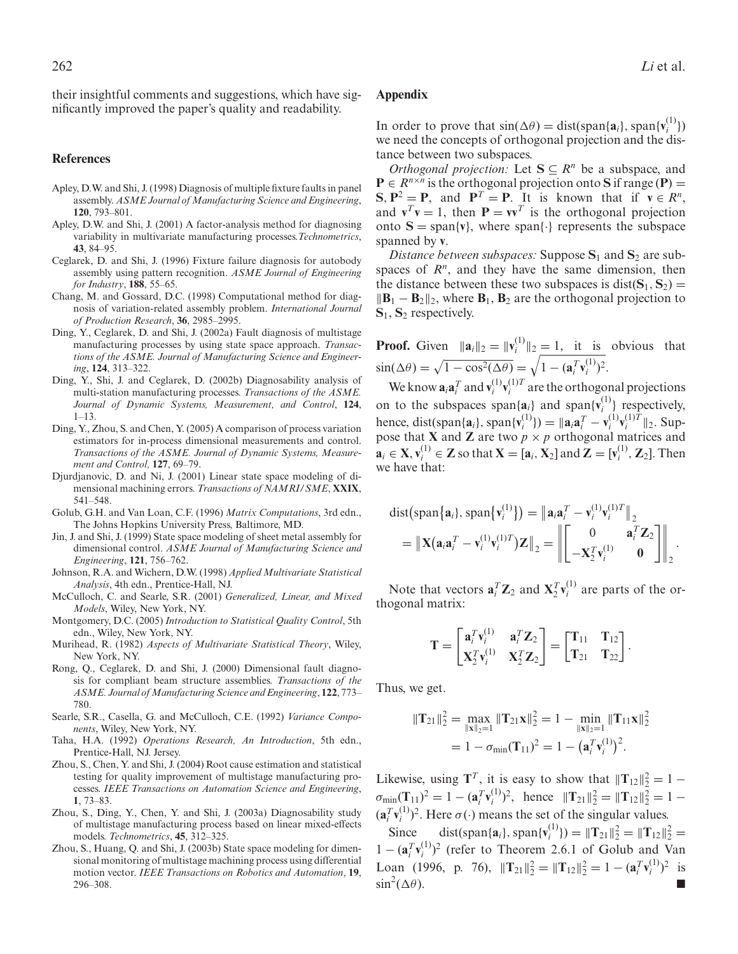their insightful comments and suggestions, which have significantly improved the paper's quality and readability.

#### **References**

- Apley, D.W. and Shi, J. (1998) Diagnosis of multiple fixture faults in panel assembly. *ASME Journal of Manufacturing Science and Engineering*, **120**, 793–801.
- Apley, D.W. and Shi, J. (2001) A factor-analysis method for diagnosing variability in multivariate manufacturing processes.*Technometrics*, **43**, 84–95.
- Ceglarek, D. and Shi, J. (1996) Fixture failure diagnosis for autobody assembly using pattern recognition. *ASME Journal of Engineering for Industry*, **188**, 55–65.
- Chang, M. and Gossard, D.C. (1998) Computational method for diagnosis of variation-related assembly problem. *International Journal of Production Research*, **36**, 2985–2995.
- Ding, Y., Ceglarek, D. and Shi, J. (2002a) Fault diagnosis of multistage manufacturing processes by using state space approach. *Transactions of the ASME. Journal of Manufacturing Science and Engineering*, **124**, 313–322.
- Ding, Y., Shi, J. and Ceglarek, D. (2002b) Diagnosability analysis of multi-station manufacturing processes. *Transactions of the ASME. Journal of Dynamic Systems, Measurement, and Control*, **124**,  $1 - 13$ .
- Ding, Y., Zhou, S. and Chen, Y. (2005) A comparison of process variation estimators for in-process dimensional measurements and control. *Transactions of the ASME. Journal of Dynamic Systems, Measurement and Control,* **127**, 69–79.
- Djurdjanovic, D. and Ni, J. (2001) Linear state space modeling of dimensional machining errors. *Transactions of NAMRI/SME*, **XXIX**, 541–548.
- Golub, G.H. and Van Loan, C.F. (1996) *Matrix Computations*, 3rd edn., The Johns Hopkins University Press, Baltimore, MD.
- Jin, J. and Shi, J. (1999) State space modeling of sheet metal assembly for dimensional control. *ASME Journal of Manufacturing Science and Engineering*, **121**, 756–762.
- Johnson, R.A. and Wichern, D.W. (1998) *Applied Multivariate Statistical Analysis*, 4th edn., Prentice-Hall, NJ.
- McCulloch, C. and Searle, S.R. (2001) *Generalized, Linear, and Mixed Models*, Wiley, New York, NY.
- Montgomery, D.C. (2005) *Introduction to Statistical Quality Control*, 5th edn., Wiley, New York, NY.
- Murihead, R. (1982) *Aspects of Multivariate Statistical Theory*, Wiley, New York, NY.
- Rong, Q., Ceglarek, D. and Shi, J. (2000) Dimensional fault diagnosis for compliant beam structure assemblies. *Transactions of the ASME. Journal of Manufacturing Science and Engineering*, **122**, 773– 780.
- Searle, S.R., Casella, G. and McCulloch, C.E. (1992) *Variance Components*, Wiley, New York, NY.
- Taha, H.A. (1992) *Operations Research, An Introduction*, 5th edn., Prentice-Hall, NJ. Jersey.
- Zhou, S., Chen, Y. and Shi, J. (2004) Root cause estimation and statistical testing for quality improvement of multistage manufacturing processes. *IEEE Transactions on Automation Science and Engineering*, **1**, 73–83.
- Zhou, S., Ding, Y., Chen, Y. and Shi, J. (2003a) Diagnosability study of multistage manufacturing process based on linear mixed-effects models. *Technometrics*, **45**, 312–325.
- Zhou, S., Huang, Q. and Shi, J. (2003b) State space modeling for dimensional monitoring of multistage machining process using differential motion vector. *IEEE Transactions on Robotics and Automation*, **19**, 296–308.

#### **Appendix**

In order to prove that  $\sin(\Delta \theta) = \text{dist}(\text{span}\{\mathbf{a}_i\}, \text{span}\{\mathbf{v}_i^{(1)}\})$ we need the concepts of orthogonal projection and the distance between two subspaces.

*Orthogonal projection:* Let  $S \subseteq R^n$  be a subspace, and  $P \in R^{n \times n}$  is the orthogonal projection onto S if range (P) =  $S, P^2 = P$ , and  $P^T = P$ . It is known that if  $v \in R^n$ , and  $\mathbf{v}^T \mathbf{v} = 1$ , then  $\mathbf{P} = \mathbf{v} \mathbf{v}^T$  is the orthogonal projection onto  $S = \text{span}\{v\}$ , where span $\{\cdot\}$  represents the subspace spanned by **v**.

*Distance between subspaces:* Suppose  $S_1$  and  $S_2$  are subspaces of  $R<sup>n</sup>$ , and they have the same dimension, then the distance between these two subspaces is dist( $S_1$ ,  $S_2$ ) =  $\|\mathbf{B}_1 - \mathbf{B}_2\|_2$ , where  $\mathbf{B}_1$ ,  $\mathbf{B}_2$  are the orthogonal projection to **S**1, **S**<sup>2</sup> respectively.

**Proof.** Given  $\|\mathbf{a}_i\|_2 = \|\mathbf{v}_i^{(1)}\|_2 = 1$ , it is obvious that  $\sin(\Delta\theta) = \sqrt{1 - \cos^2(\Delta\theta)} = \sqrt{1 - (\mathbf{a}_i^T \mathbf{v}_i^{(1)})^2}.$ 

We know  $\mathbf{a}_i \mathbf{a}_i^T$  and  $\mathbf{v}_i^{(1)} \mathbf{v}_i^{(1)T}$  are the orthogonal projections on to the subspaces span $\{a_i\}$  and span $\{v_i^{(1)}\}$  respectively, hence, dist(span{ $\mathbf{a}_i$ }, span{ $\mathbf{v}_i^{(1)}$ }) =  $\|\mathbf{a}_i\mathbf{a}_i^T - \mathbf{v}_i^{(1)}\mathbf{v}_i^{(1)}\|^T\|_2$ . Suppose that **X** and **Z** are two  $p \times p$  orthogonal matrices and  $\mathbf{a}_i \in \mathbf{X}, \mathbf{v}_i^{(1)} \in \mathbf{Z}$  so that  $\mathbf{X} = [\mathbf{a}_i, \mathbf{X}_2]$  and  $\mathbf{Z} = [\mathbf{v}_i^{(1)}, \mathbf{Z}_2]$ . Then we have that:

$$
\text{dist}\big(\text{span}\big\{\mathbf{a}_i\big\},\text{span}\big\{\mathbf{v}_i^{(1)}\big\}\big) = \big\|\mathbf{a}_i\mathbf{a}_i^T - \mathbf{v}_i^{(1)}\mathbf{v}_i^{(1)T}\big\|_2
$$
\n
$$
= \big\|\mathbf{X}\big(\mathbf{a}_i\mathbf{a}_i^T - \mathbf{v}_i^{(1)}\mathbf{v}_i^{(1)T}\big)\mathbf{Z}\big\|_2 = \big\|\begin{bmatrix} 0 & \mathbf{a}_i^T\mathbf{Z}_2 \\ -\mathbf{X}_2^T\mathbf{v}_i^{(1)} & 0 \end{bmatrix}\big\|_2.
$$

Note that vectors  $\mathbf{a}_i^T \mathbf{Z}_2$  and  $\mathbf{X}_2^T \mathbf{v}_i^{(1)}$  are parts of the orthogonal matrix:

$$
\mathbf{T} = \begin{bmatrix} \mathbf{a}_i^T \mathbf{v}_i^{(1)} & \mathbf{a}_i^T \mathbf{Z}_2 \\ \mathbf{X}_2^T \mathbf{v}_i^{(1)} & \mathbf{X}_2^T \mathbf{Z}_2 \end{bmatrix} = \begin{bmatrix} \mathbf{T}_{11} & \mathbf{T}_{12} \\ \mathbf{T}_{21} & \mathbf{T}_{22} \end{bmatrix}.
$$

Thus, we get.

$$
\begin{aligned} \|\mathbf{T}_{21}\|_{2}^{2} &= \max_{\|\mathbf{x}\|_{2}=1} \|\mathbf{T}_{21}\mathbf{x}\|_{2}^{2} = 1 - \min_{\|\mathbf{x}\|_{2}=1} \|\mathbf{T}_{11}\mathbf{x}\|_{2}^{2} \\ &= 1 - \sigma_{\min}(\mathbf{T}_{11})^{2} = 1 - \left(\mathbf{a}_{i}^{T}\mathbf{v}_{i}^{(1)}\right)^{2} .\end{aligned}
$$

Likewise, using **T**<sup>*T*</sup>, it is easy to show that  $||T_{12}||_2^2 = 1 \sigma_{\min}(\mathbf{T}_{11})^2 = 1 - (\mathbf{a}_i^T \mathbf{v}_i^{(1)})^2$ , hence  $\|\mathbf{T}_{21}\|_2^2 = \|\mathbf{T}_{12}\|_2^2 = 1 (a_i^T v_i^{(1)})^2$ . Here  $\sigma(\cdot)$  means the set of the singular values.

Since dist(span{ $\mathbf{a}_i$ }, span{ $\mathbf{v}_i^{(1)}$ }) =  $\|\mathbf{T}_{21}\|_2^2$  =  $\|\mathbf{T}_{12}\|_2^2$  =  $1 - (\mathbf{a}_i^T \mathbf{v}_i^{(1)})^2$  (refer to Theorem 2.6.1 of Golub and Van Loan (1996, p. 76),  $||{\bf T}_{21}||_2^2 = ||{\bf T}_{12}||_2^2 = 1 - ({\bf a}_i^T {\bf v}_i^{(1)})^2$  is  $\sin^2(\Delta\theta)$ .  $(\Delta \theta)$ .